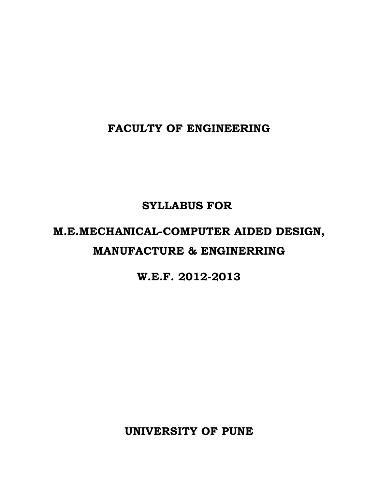**FACULTY OF ENGINEERING**

# **SYLLABUS FOR**

# **M.E.MECHANICAL-COMPUTER AIDED DESIGN, MANUFACTURE & ENGINERRING**

# **W.E.F. 2012-2013**

**UNIVERSITY OF PUNE**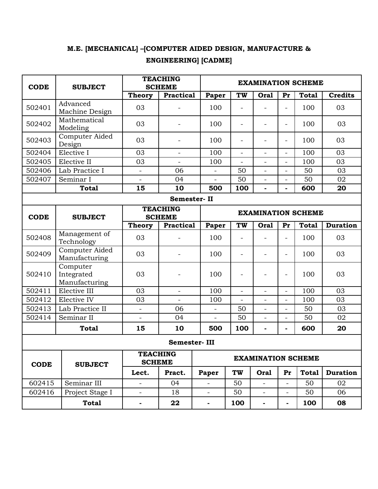# **M.E. [MECHANICAL] –[COMPUTER AIDED DESIGN, MANUFACTURE &**

# **ENGINEERING] [CADME]**

| <b>CODE</b> | <b>SUBJECT</b>                          | <b>TEACHING</b><br><b>SCHEME</b> |                          |                           | <b>EXAMINATION SCHEME</b> |                          |                          |              |                 |
|-------------|-----------------------------------------|----------------------------------|--------------------------|---------------------------|---------------------------|--------------------------|--------------------------|--------------|-----------------|
|             |                                         | Theory                           | <b>Practical</b>         | Paper                     | TW                        | Oral                     | Pr                       | <b>Total</b> | <b>Credits</b>  |
| 502401      | Advanced<br>Machine Design              | 03                               |                          | 100                       | $\overline{\phantom{0}}$  |                          | $\overline{\phantom{0}}$ | 100          | 03              |
| 502402      | Mathematical<br>Modeling                | 03                               | $\overline{\phantom{a}}$ | 100                       | $\overline{\phantom{a}}$  | $\overline{a}$           | $\overline{\phantom{a}}$ | 100          | 03              |
| 502403      | Computer Aided<br>Design                | 03                               | $\overline{\phantom{0}}$ | 100                       | $\overline{\phantom{0}}$  |                          | $\overline{\phantom{0}}$ | 100          | 03              |
| 502404      | Elective I                              | 03                               | $\overline{\phantom{a}}$ | 100                       | $\overline{\phantom{a}}$  | $\overline{\phantom{0}}$ | $\overline{\phantom{a}}$ | 100          | 03              |
| 502405      | Elective II                             | 03                               |                          | 100                       | $\overline{a}$            | $\overline{a}$           | $\overline{a}$           | 100          | 03              |
| 502406      | Lab Practice I                          | $\qquad \qquad -$                | 06                       |                           | 50                        |                          | $\overline{\phantom{0}}$ | 50           | 03              |
| 502407      | Seminar I                               | $\overline{\phantom{a}}$         | 04                       | $\overline{\phantom{0}}$  | 50                        | $\overline{\phantom{0}}$ | $\overline{\phantom{a}}$ | 50           | 02              |
|             | <b>Total</b>                            | 15                               | 10                       | 500                       | 100                       |                          | $\blacksquare$           | 600          | 20              |
|             |                                         |                                  | Semester-II              |                           |                           |                          |                          |              |                 |
| <b>CODE</b> | <b>SUBJECT</b>                          | <b>TEACHING</b><br><b>SCHEME</b> |                          |                           | <b>EXAMINATION SCHEME</b> |                          |                          |              |                 |
|             |                                         | <b>Theory</b>                    | <b>Practical</b>         | Paper                     | <b>TW</b>                 | <b>Oral</b>              | Pr                       | <b>Total</b> | <b>Duration</b> |
| 502408      | Management of<br>Technology             | 03                               | $\overline{\phantom{a}}$ | 100                       | $\overline{\phantom{a}}$  |                          | $\overline{\phantom{0}}$ | 100          | 03              |
| 502409      | Computer Aided<br>Manufacturing         | 03                               | $\overline{\phantom{0}}$ | 100                       | $\overline{\phantom{a}}$  | $\overline{a}$           | $\overline{\phantom{a}}$ | 100          | 03              |
| 502410      | Computer<br>Integrated<br>Manufacturing | 03                               | $\overline{\phantom{a}}$ | 100                       |                           |                          | $\overline{\phantom{0}}$ | 100          | 03              |
| 502411      | Elective III                            | 03                               | $\overline{\phantom{a}}$ | 100                       | $\overline{\phantom{a}}$  | $\overline{a}$           | $\overline{\phantom{a}}$ | 100          | 03              |
| 502412      | Elective IV                             | 03                               |                          | 100                       |                           | $\overline{a}$           | $\qquad \qquad -$        | 100          | 03              |
| 502413      | Lab Practice II                         | $\overline{\phantom{a}}$         | 06                       | $\overline{\phantom{a}}$  | 50                        | $\overline{\phantom{0}}$ | $\overline{\phantom{a}}$ | 50           | 03              |
| 502414      | Seminar II                              | $\overline{\phantom{0}}$         | 04                       | $\overline{a}$            | 50                        | $\overline{a}$           | $\overline{\phantom{0}}$ | 50           | 02              |
|             | <b>Total</b>                            | 15                               | 10                       | 500                       | 100                       | Ĭ.                       | ٠                        | 600          | 20              |
|             | Semester-III                            |                                  |                          |                           |                           |                          |                          |              |                 |
| <b>CODE</b> | <b>SUBJECT</b>                          | <b>TEACHING</b><br><b>SCHEME</b> |                          | <b>EXAMINATION SCHEME</b> |                           |                          |                          |              |                 |
|             |                                         | Lect.                            | Pract.                   | Paper                     | TW                        | <b>Oral</b>              | Pr                       | <b>Total</b> | <b>Duration</b> |
| 602415      | Seminar III                             | $\overline{\phantom{a}}$         | 04                       | $\overline{\phantom{0}}$  | 50                        | $\overline{\phantom{0}}$ | $\overline{\phantom{a}}$ | 50           | 02              |
| 602416      | Project Stage I                         | $\overline{\phantom{a}}$         | 18                       | $\overline{a}$            | 50                        | $\overline{a}$           | $\overline{\phantom{a}}$ | 50           | 06              |
|             | <b>Total</b>                            | $\blacksquare$                   | 22                       | ۰                         | 100                       | $\blacksquare$           | $\blacksquare$           | 100          | 08              |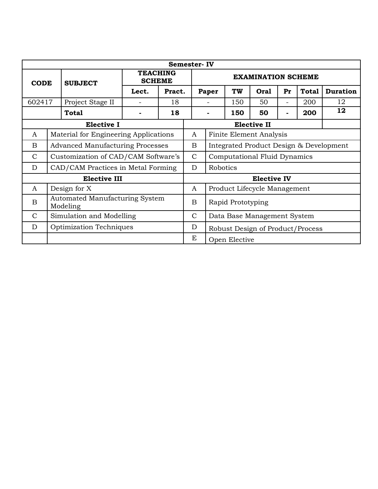|                     | <b>Semester-IV</b>                                |                                    |                                     |        |                                  |                                         |                              |                              |                    |                          |              |                 |
|---------------------|---------------------------------------------------|------------------------------------|-------------------------------------|--------|----------------------------------|-----------------------------------------|------------------------------|------------------------------|--------------------|--------------------------|--------------|-----------------|
|                     | <b>CODE</b><br><b>SUBJECT</b>                     |                                    | <b>TEACHING</b><br><b>SCHEME</b>    |        | <b>EXAMINATION SCHEME</b>        |                                         |                              |                              |                    |                          |              |                 |
|                     |                                                   |                                    | Lect.                               | Pract. |                                  |                                         | Paper                        | TW                           | <b>Oral</b>        | Pr                       | <b>Total</b> | <b>Duration</b> |
| 602417              |                                                   | Project Stage II                   |                                     | 18     |                                  |                                         |                              | 150                          | 50                 | $\overline{\phantom{0}}$ | 200          | 12              |
|                     |                                                   | <b>Total</b>                       |                                     | 18     |                                  |                                         |                              | 150                          | 50                 | ۰                        | 200          | 12              |
|                     |                                                   | <b>Elective I</b>                  |                                     |        |                                  |                                         |                              |                              | <b>Elective II</b> |                          |              |                 |
| $\boldsymbol{A}$    | Material for Engineering Applications             |                                    |                                     |        | A                                | <b>Finite Element Analysis</b>          |                              |                              |                    |                          |              |                 |
| B                   | <b>Advanced Manufacturing Processes</b>           |                                    |                                     |        | B                                | Integrated Product Design & Development |                              |                              |                    |                          |              |                 |
| $\mathcal{C}$       |                                                   |                                    | Customization of CAD/CAM Software's |        |                                  | $\mathsf{C}$                            | Computational Fluid Dynamics |                              |                    |                          |              |                 |
| D                   |                                                   | CAD/CAM Practices in Metal Forming |                                     |        |                                  | D                                       | Robotics                     |                              |                    |                          |              |                 |
| <b>Elective III</b> |                                                   |                                    |                                     |        |                                  |                                         | <b>Elective IV</b>           |                              |                    |                          |              |                 |
| A                   | Design for X                                      |                                    |                                     |        | A                                |                                         |                              | Product Lifecycle Management |                    |                          |              |                 |
| B                   | <b>Automated Manufacturing System</b><br>Modeling |                                    |                                     | B      |                                  | Rapid Prototyping                       |                              |                              |                    |                          |              |                 |
| $\mathcal{C}$       |                                                   | Simulation and Modelling           |                                     |        | $\mathsf{C}$                     |                                         |                              | Data Base Management System  |                    |                          |              |                 |
| D                   | Optimization Techniques                           |                                    |                                     | D      | Robust Design of Product/Process |                                         |                              |                              |                    |                          |              |                 |
|                     |                                                   |                                    |                                     |        | E                                |                                         | Open Elective                |                              |                    |                          |              |                 |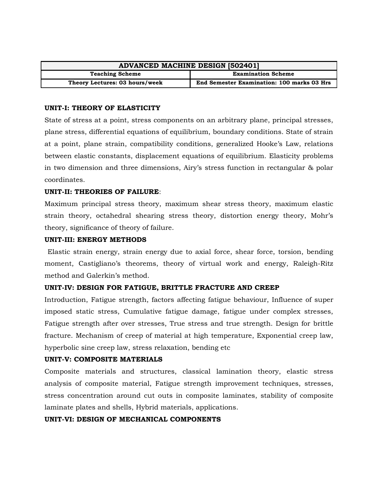| <b>ADVANCED MACHINE DESIGN [502401]</b> |                                            |  |  |
|-----------------------------------------|--------------------------------------------|--|--|
| <b>Teaching Scheme</b>                  | <b>Examination Scheme</b>                  |  |  |
| Theory Lectures: 03 hours/week          | End Semester Examination: 100 marks 03 Hrs |  |  |

#### **UNIT-I: THEORY OF ELASTICITY**

State of stress at a point, stress components on an arbitrary plane, principal stresses, plane stress, differential equations of equilibrium, boundary conditions. State of strain at a point, plane strain, compatibility conditions, generalized Hooke's Law, relations between elastic constants, displacement equations of equilibrium. Elasticity problems in two dimension and three dimensions, Airy's stress function in rectangular & polar coordinates.

#### **UNIT-II: THEORIES OF FAILURE**:

Maximum principal stress theory, maximum shear stress theory, maximum elastic strain theory, octahedral shearing stress theory, distortion energy theory, Mohr's theory, significance of theory of failure.

#### **UNIT-III: ENERGY METHODS**

Elastic strain energy, strain energy due to axial force, shear force, torsion, bending moment, Castigliano's theorems, theory of virtual work and energy, Raleigh-Ritz method and Galerkin's method.

#### **UNIT-IV: DESIGN FOR FATIGUE, BRITTLE FRACTURE AND CREEP**

Introduction, Fatigue strength, factors affecting fatigue behaviour, Influence of super imposed static stress, Cumulative fatigue damage, fatigue under complex stresses, Fatigue strength after over stresses, True stress and true strength. Design for brittle fracture. Mechanism of creep of material at high temperature, Exponential creep law, hyperbolic sine creep law, stress relaxation, bending etc

#### **UNIT-V: COMPOSITE MATERIALS**

Composite materials and structures, classical lamination theory, elastic stress analysis of composite material, Fatigue strength improvement techniques, stresses, stress concentration around cut outs in composite laminates, stability of composite laminate plates and shells, Hybrid materials, applications.

#### **UNIT-VI: DESIGN OF MECHANICAL COMPONENTS**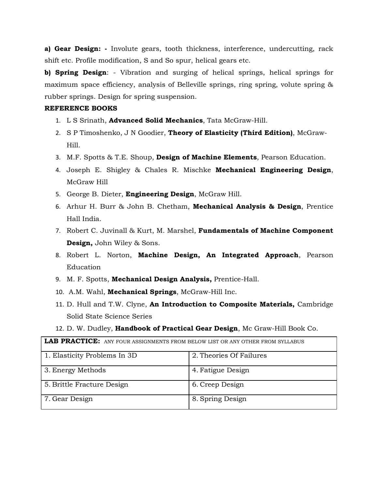**a) Gear Design: -** Involute gears, tooth thickness, interference, undercutting, rack shift etc. Profile modification, S and So spur, helical gears etc.

**b) Spring Design**: - Vibration and surging of helical springs, helical springs for maximum space efficiency, analysis of Belleville springs, ring spring, volute spring & rubber springs. Design for spring suspension.

#### **REFERENCE BOOKS**

- 1. L S Srinath, **Advanced Solid Mechanics**, Tata McGraw-Hill.
- 2. S P Timoshenko, J N Goodier, **Theory of Elasticity (Third Edition)**, McGraw-Hill.
- 3. M.F. Spotts & T.E. Shoup, **Design of Machine Elements**, Pearson Education.
- 4. Joseph E. Shigley & Chales R. Mischke **Mechanical Engineering Design**, McGraw Hill
- 5. George B. Dieter, **Engineering Design**, McGraw Hill.
- 6. Arhur H. Burr & John B. Chetham, **Mechanical Analysis & Design**, Prentice Hall India.
- 7. Robert C. Juvinall & Kurt, M. Marshel, **Fundamentals of Machine Component Design,** John Wiley & Sons.
- 8. Robert L. Norton, **Machine Design, An Integrated Approach**, Pearson Education
- 9. M. F. Spotts, **Mechanical Design Analysis,** Prentice-Hall.
- 10. A.M. Wahl, **Mechanical Springs**, McGraw-Hill Inc.
- 11. D. Hull and T.W. Clyne, **An Introduction to Composite Materials,** Cambridge Solid State Science Series
- 12. D. W. Dudley, **Handbook of Practical Gear Design**, Mc Graw-Hill Book Co.

**LAB PRACTICE:** ANY FOUR ASSIGNMENTS FROM BELOW LIST OR ANY OTHER FROM SYLLABUS

| 1. Elasticity Problems In 3D | 2. Theories Of Failures |
|------------------------------|-------------------------|
| 3. Energy Methods            | 4. Fatigue Design       |
| 5. Brittle Fracture Design   | 6. Creep Design         |
| 7. Gear Design               | 8. Spring Design        |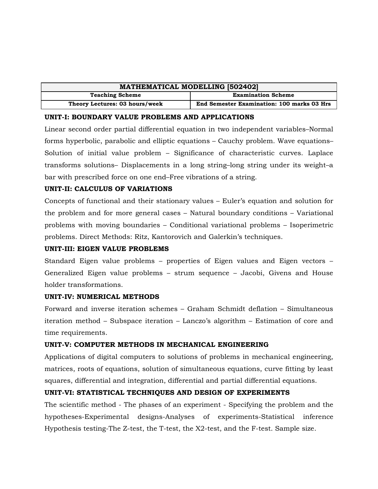| <b>MATHEMATICAL MODELLING [502402]</b> |                                            |  |  |
|----------------------------------------|--------------------------------------------|--|--|
| <b>Teaching Scheme</b>                 | <b>Examination Scheme</b>                  |  |  |
| Theory Lectures: 03 hours/week         | End Semester Examination: 100 marks 03 Hrs |  |  |

#### **UNIT-I: BOUNDARY VALUE PROBLEMS AND APPLICATIONS**

Linear second order partial differential equation in two independent variables–Normal forms hyperbolic, parabolic and elliptic equations – Cauchy problem. Wave equations– Solution of initial value problem – Significance of characteristic curves. Laplace transforms solutions– Displacements in a long string–long string under its weight–a bar with prescribed force on one end–Free vibrations of a string.

#### **UNIT-II: CALCULUS OF VARIATIONS**

Concepts of functional and their stationary values – Euler's equation and solution for the problem and for more general cases – Natural boundary conditions – Variational problems with moving boundaries – Conditional variational problems – Isoperimetric problems. Direct Methods: Ritz, Kantorovich and Galerkin's techniques.

#### **UNIT-III: EIGEN VALUE PROBLEMS**

Standard Eigen value problems – properties of Eigen values and Eigen vectors – Generalized Eigen value problems – strum sequence – Jacobi, Givens and House holder transformations.

#### **UNIT-IV: NUMERICAL METHODS**

Forward and inverse iteration schemes – Graham Schmidt deflation – Simultaneous iteration method – Subspace iteration – Lanczo's algorithm – Estimation of core and time requirements.

# **UNIT-V: COMPUTER METHODS IN MECHANICAL ENGINEERING**

Applications of digital computers to solutions of problems in mechanical engineering, matrices, roots of equations, solution of simultaneous equations, curve fitting by least squares, differential and integration, differential and partial differential equations.

# **UNIT-VI: STATISTICAL TECHNIQUES AND DESIGN OF EXPERIMENTS**

The scientific method - The phases of an experiment - Specifying the problem and the hypotheses-Experimental designs-Analyses of experiments-Statistical inference Hypothesis testing-The Z-test, the T-test, the X2-test, and the F-test. Sample size.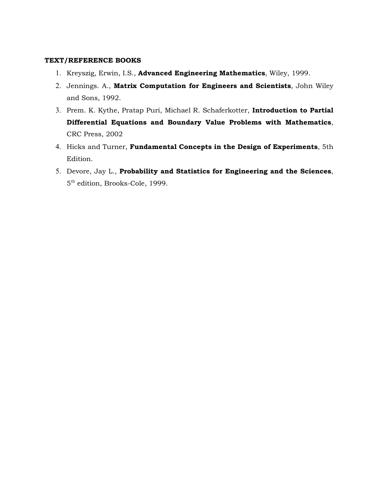#### **TEXT/REFERENCE BOOKS**

- 1. Kreyszig, Erwin, I.S., **Advanced Engineering Mathematics**, Wiley, 1999.
- 2. Jennings. A., **Matrix Computation for Engineers and Scientists**, John Wiley and Sons, 1992.
- 3. Prem. K. Kythe, Pratap Puri, Michael R. Schaferkotter, **Introduction to Partial Differential Equations and Boundary Value Problems with Mathematics**, CRC Press, 2002
- 4. Hicks and Turner, **Fundamental Concepts in the Design of Experiments**, 5th Edition.
- 5. Devore, Jay L., **Probability and Statistics for Engineering and the Sciences**, 5 th edition, Brooks-Cole, 1999.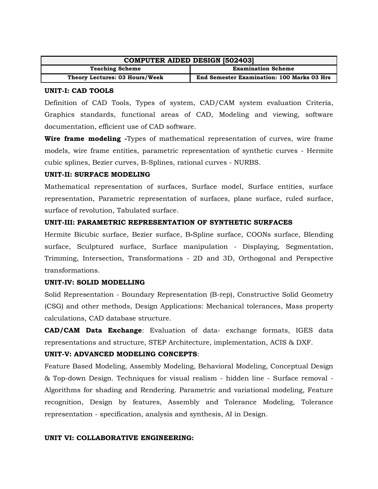| <b>COMPUTER AIDED DESIGN [502403]</b> |                                                   |  |  |
|---------------------------------------|---------------------------------------------------|--|--|
| <b>Teaching Scheme</b>                | <b>Examination Scheme</b>                         |  |  |
| Theory Lectures: 03 Hours/Week        | <b>End Semester Examination: 100 Marks 03 Hrs</b> |  |  |

#### **UNIT-I: CAD TOOLS**

Definition of CAD Tools, Types of system, CAD/CAM system evaluation Criteria, Graphics standards, functional areas of CAD, Modeling and viewing, software documentation, efficient use of CAD software.

**Wire frame modeling -**Types of mathematical representation of curves, wire frame models, wire frame entities, parametric representation of synthetic curves - Hermite cubic splines, Bezier curves, B-Splines, rational curves - NURBS.

#### **UNIT-II: SURFACE MODELING**

Mathematical representation of surfaces, Surface model, Surface entities, surface representation, Parametric representation of surfaces, plane surface, ruled surface, surface of revolution, Tabulated surface.

#### **UNIT-III: PARAMETRIC REPRESENTATION OF SYNTHETIC SURFACES**

Hermite Bicubic surface, Bezier surface, B**-**Spline surface, COONs surface, Blending surface, Sculptured surface, Surface manipulation - Displaying, Segmentation, Trimming, Intersection, Transformations - 2D and 3D, Orthogonal and Perspective transformations.

#### **UNIT-IV: SOLID MODELLING**

Solid Representation - Boundary Representation (B-rep), Constructive Solid Geometry (CSG) and other methods, Design Applications: Mechanical tolerances, Mass property calculations, CAD database structure.

**CAD/CAM Data Exchange**: Evaluation of data- exchange formats, IGES data representations and structure, STEP Architecture, implementation, ACIS & DXF.

#### **UNIT-V: ADVANCED MODELING CONCEPTS**:

Feature Based Modeling, Assembly Modeling, Behavioral Modeling, Conceptual Design & Top-down Design. Techniques for visual realism - hidden line - Surface removal - Algorithms for shading and Rendering. Parametric and variational modeling, Feature recognition, Design by features, Assembly and Tolerance Modeling, Tolerance representation - specification, analysis and synthesis, AI in Design.

#### **UNIT VI: COLLABORATIVE ENGINEERING:**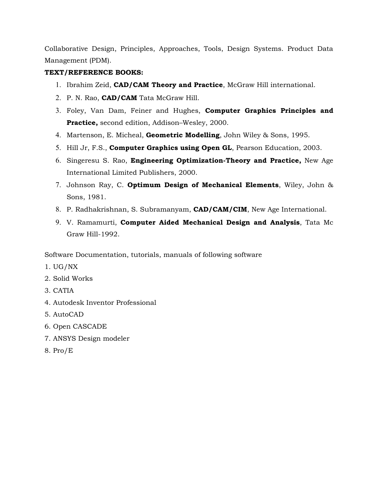Collaborative Design, Principles, Approaches, Tools, Design Systems. Product Data Management (PDM).

### **TEXT/REFERENCE BOOKS:**

- 1. Ibrahim Zeid, **CAD/CAM Theory and Practice**, McGraw Hill international.
- 2. P. N. Rao, **CAD/CAM** Tata McGraw Hill.
- 3. Foley, Van Dam, Feiner and Hughes, **Computer Graphics Principles and Practice,** second edition, Addison–Wesley, 2000.
- 4. Martenson, E. Micheal, **Geometric Modelling**, John Wiley & Sons, 1995.
- 5. Hill Jr, F.S., **Computer Graphics using Open GL**, Pearson Education, 2003.
- 6. Singeresu S. Rao, **Engineering Optimization-Theory and Practice,** New Age International Limited Publishers, 2000.
- 7. Johnson Ray, C. **Optimum Design of Mechanical Elements**, Wiley, John & Sons, 1981.
- 8. P. Radhakrishnan, S. Subramanyam, **CAD/CAM/CIM**, New Age International.
- 9. V. Ramamurti, **Computer Aided Mechanical Design and Analysis**, Tata Mc Graw Hill-1992.

Software Documentation, tutorials, manuals of following software

- 1. UG/NX
- 2. Solid Works
- 3. CATIA
- 4. Autodesk Inventor Professional
- 5. AutoCAD
- 6. Open CASCADE
- 7. ANSYS Design modeler
- 8. Pro/E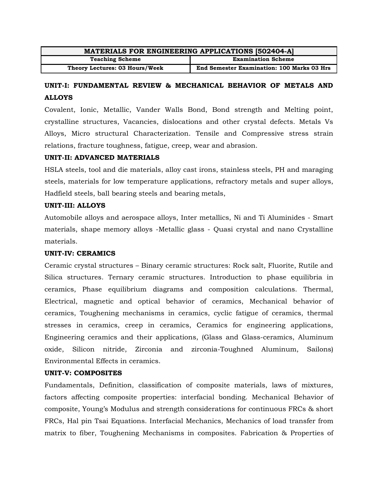| <b>MATERIALS FOR ENGINEERING APPLICATIONS [502404-A]</b> |                                                   |  |  |
|----------------------------------------------------------|---------------------------------------------------|--|--|
| <b>Teaching Scheme</b>                                   | <b>Examination Scheme</b>                         |  |  |
| Theory Lectures: 03 Hours/Week                           | <b>End Semester Examination: 100 Marks 03 Hrs</b> |  |  |

# **UNIT-I: FUNDAMENTAL REVIEW & MECHANICAL BEHAVIOR OF METALS AND ALLOYS**

Covalent, Ionic, Metallic, Vander Walls Bond, Bond strength and Melting point, crystalline structures, Vacancies, dislocations and other crystal defects. Metals Vs Alloys, Micro structural Characterization. Tensile and Compressive stress strain relations, fracture toughness, fatigue, creep, wear and abrasion.

#### **UNIT-II: ADVANCED MATERIALS**

HSLA steels, tool and die materials, alloy cast irons, stainless steels, PH and maraging steels, materials for low temperature applications, refractory metals and super alloys, Hadfield steels, ball bearing steels and bearing metals,

#### **UNIT-III: ALLOYS**

Automobile alloys and aerospace alloys, Inter metallics, Ni and Ti Aluminides - Smart materials, shape memory alloys -Metallic glass - Quasi crystal and nano Crystalline materials.

#### **UNIT-IV: CERAMICS**

Ceramic crystal structures – Binary ceramic structures: Rock salt, Fluorite, Rutile and Silica structures. Ternary ceramic structures. Introduction to phase equilibria in ceramics, Phase equilibrium diagrams and composition calculations. Thermal, Electrical, magnetic and optical behavior of ceramics, Mechanical behavior of ceramics, Toughening mechanisms in ceramics, cyclic fatigue of ceramics, thermal stresses in ceramics, creep in ceramics, Ceramics for engineering applications, Engineering ceramics and their applications, (Glass and Glass-ceramics, Aluminum oxide, Silicon nitride, Zirconia and zirconia-Toughned Aluminum, Sailons) Environmental Effects in ceramics.

#### **UNIT-V: COMPOSITES**

Fundamentals, Definition, classification of composite materials, laws of mixtures, factors affecting composite properties: interfacial bonding. Mechanical Behavior of composite, Young's Modulus and strength considerations for continuous FRCs & short FRCs, Hal pin Tsai Equations. Interfacial Mechanics, Mechanics of load transfer from matrix to fiber, Toughening Mechanisms in composites. Fabrication & Properties of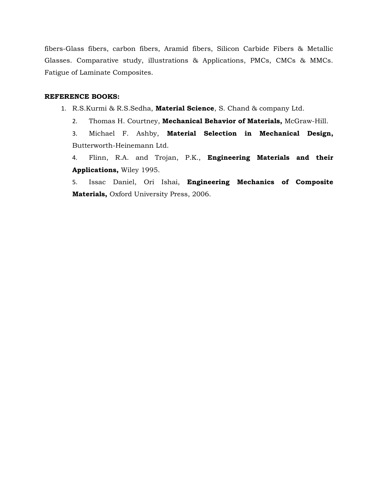fibers-Glass fibers, carbon fibers, Aramid fibers, Silicon Carbide Fibers & Metallic Glasses. Comparative study, illustrations & Applications, PMCs, CMCs & MMCs. Fatigue of Laminate Composites.

#### **REFERENCE BOOKS:**

- 1. R.S.Kurmi & R.S.Sedha, **Material Science**, S. Chand & company Ltd.
	- 2. Thomas H. Courtney, **Mechanical Behavior of Materials,** McGraw-Hill.

3. Michael F. Ashby, **Material Selection in Mechanical Design,** [Butterworth-Heinemann Ltd.](http://www.fishpond.com.au/c/Books/p/Butterworth-Heinemann+Ltd)

4. Flinn, R.A. and Trojan, P.K., **Engineering Materials and their Applications,** Wiley 1995.

5. Issac Daniel, Ori Ishai, **Engineering Mechanics of Composite Materials,** Oxford University Press, 2006.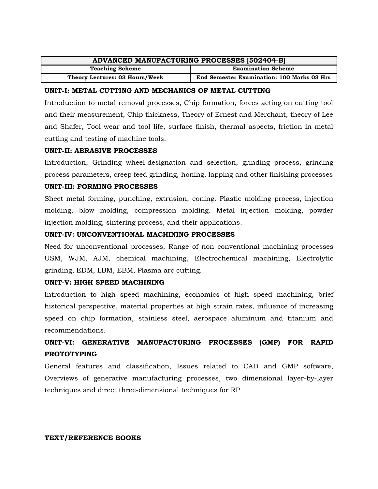| ADVANCED MANUFACTURING PROCESSES [502404-B] |                                                   |  |  |
|---------------------------------------------|---------------------------------------------------|--|--|
| <b>Teaching Scheme</b>                      | <b>Examination Scheme</b>                         |  |  |
| Theory Lectures: 03 Hours/Week              | <b>End Semester Examination: 100 Marks 03 Hrs</b> |  |  |

#### **UNIT-I: METAL CUTTING AND MECHANICS OF METAL CUTTING**

Introduction to metal removal processes, Chip formation, forces acting on cutting tool and their measurement, Chip thickness, Theory of Ernest and Merchant, theory of Lee and Shafer, Tool wear and tool life, surface finish, thermal aspects, friction in metal cutting and testing of machine tools.

#### **UNIT-II: ABRASIVE PROCESSES**

Introduction, Grinding wheel-designation and selection, grinding process, grinding process parameters, creep feed grinding, honing, lapping and other finishing processes

#### **UNIT-III: FORMING PROCESSES**

Sheet metal forming, punching, extrusion, coning. Plastic molding process, injection molding, blow molding, compression molding. Metal injection molding, powder injection molding, sintering process, and their applications.

# **UNIT-IV: UNCONVENTIONAL MACHINING PROCESSES**

Need for unconventional processes, Range of non conventional machining processes USM, WJM, AJM, chemical machining, Electrochemical machining, Electrolytic grinding, EDM, LBM, EBM, Plasma arc cutting.

#### **UNIT-V: HIGH SPEED MACHINING**

Introduction to high speed machining, economics of high speed machining, brief historical perspective, material properties at high strain rates, influence of increasing speed on chip formation, stainless steel, aerospace aluminum and titanium and recommendations.

# **UNIT-VI: GENERATIVE MANUFACTURING PROCESSES (GMP) FOR RAPID PROTOTYPING**

General features and classification, Issues related to CAD and GMP software, Overviews of generative manufacturing processes, two dimensional layer-by-layer techniques and direct three-dimensional techniques for RP

#### **TEXT/REFERENCE BOOKS**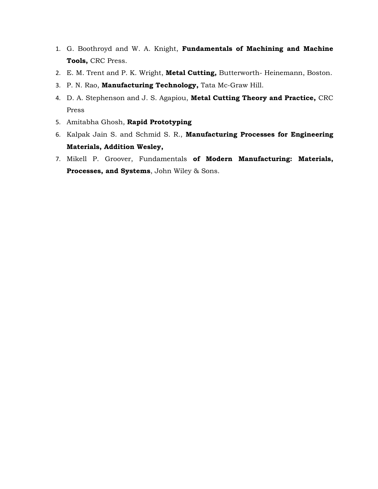- 1. G. Boothroyd and W. A. Knight, **Fundamentals of Machining and Machine Tools,** CRC Press.
- 2. E. M. Trent and P. K. Wright, **Metal Cutting,** Butterworth- Heinemann, Boston.
- 3. P. N. Rao, **Manufacturing Technology,** Tata Mc-Graw Hill.
- 4. D. A. Stephenson and J. S. Agapiou, **Metal Cutting Theory and Practice,** CRC Press
- 5. Amitabha Ghosh, **Rapid Prototyping**
- 6. Kalpak Jain S. and Schmid S. R., **Manufacturing Processes for Engineering Materials, Addition Wesley,**
- 7. Mikell P. Groover, Fundamentals **of Modern Manufacturing: Materials, Processes, and Systems**, John Wiley & Sons.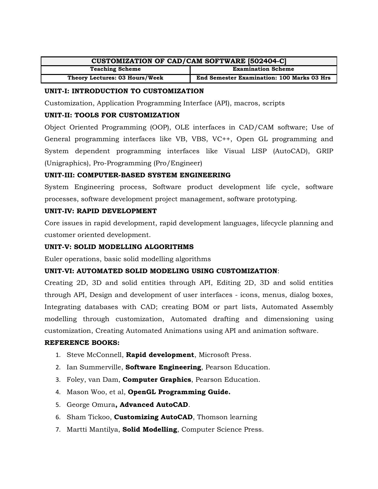| <b>CUSTOMIZATION OF CAD/CAM SOFTWARE [502404-C]</b> |                                                   |  |  |
|-----------------------------------------------------|---------------------------------------------------|--|--|
| <b>Teaching Scheme</b>                              | <b>Examination Scheme</b>                         |  |  |
| Theory Lectures: 03 Hours/Week                      | <b>End Semester Examination: 100 Marks 03 Hrs</b> |  |  |

### **UNIT-I: INTRODUCTION TO CUSTOMIZATION**

Customization, Application Programming Interface (API), macros, scripts

# **UNIT-II: TOOLS FOR CUSTOMIZATION**

Object Oriented Programming (OOP), OLE interfaces in CAD/CAM software; Use of General programming interfaces like VB, VBS, VC++, Open GL programming and System dependent programming interfaces like Visual LISP (AutoCAD), GRIP (Unigraphics), Pro-Programming (Pro/Engineer)

# **UNIT-III: COMPUTER-BASED SYSTEM ENGINEERING**

System Engineering process, Software product development life cycle, software processes, software development project management, software prototyping.

#### **UNIT-IV: RAPID DEVELOPMENT**

Core issues in rapid development, rapid development languages, lifecycle planning and customer oriented development.

# **UNIT-V: SOLID MODELLING ALGORITHMS**

Euler operations, basic solid modelling algorithms

# **UNIT-VI: AUTOMATED SOLID MODELING USING CUSTOMIZATION**:

Creating 2D, 3D and solid entities through API, Editing 2D, 3D and solid entities through API, Design and development of user interfaces - icons, menus, dialog boxes, Integrating databases with CAD; creating BOM or part lists, Automated Assembly modelling through customization, Automated drafting and dimensioning using customization, Creating Automated Animations using API and animation software.

#### **REFERENCE BOOKS:**

- 1. Steve McConnell, **Rapid development**, Microsoft Press.
- 2. Ian Summerville, **Software Engineering**, Pearson Education.
- 3. Foley, van Dam, **Computer Graphics**, Pearson Education.
- 4. Mason Woo, et al, **OpenGL Programming Guide.**
- 5. George Omura**, Advanced AutoCAD**.
- 6. Sham Tickoo, **Customizing AutoCAD**, Thomson learning
- 7. Martti Mantilya, **Solid Modelling**, Computer Science Press.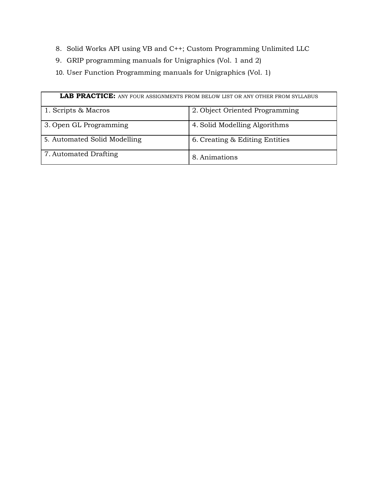- 8. Solid Works API using VB and C++; Custom Programming Unlimited LLC
- 9. GRIP programming manuals for Unigraphics (Vol. 1 and 2)
- 10. User Function Programming manuals for Unigraphics (Vol. 1)

|                              | <b>LAB PRACTICE:</b> ANY FOUR ASSIGNMENTS FROM BELOW LIST OR ANY OTHER FROM SYLLABUS |
|------------------------------|--------------------------------------------------------------------------------------|
| 1. Scripts & Macros          | 2. Object Oriented Programming                                                       |
| 3. Open GL Programming       | 4. Solid Modelling Algorithms                                                        |
| 5. Automated Solid Modelling | 6. Creating & Editing Entities                                                       |
| 7. Automated Drafting        | 8. Animations                                                                        |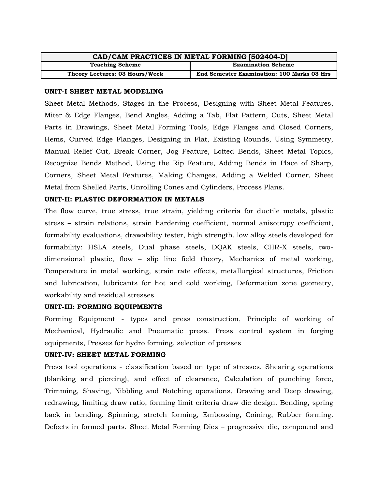| CAD/CAM PRACTICES IN METAL FORMING [502404-D] |                                                   |  |  |
|-----------------------------------------------|---------------------------------------------------|--|--|
| <b>Teaching Scheme</b>                        | <b>Examination Scheme</b>                         |  |  |
| Theory Lectures: 03 Hours/Week                | <b>End Semester Examination: 100 Marks 03 Hrs</b> |  |  |

#### **UNIT-I SHEET METAL MODELING**

Sheet Metal Methods, Stages in the Process, Designing with Sheet Metal Features, Miter & Edge Flanges, Bend Angles, Adding a Tab, Flat Pattern, Cuts, Sheet Metal Parts in Drawings, Sheet Metal Forming Tools, Edge Flanges and Closed Corners, Hems, Curved Edge Flanges, Designing in Flat, Existing Rounds, Using Symmetry, Manual Relief Cut, Break Corner, Jog Feature, Lofted Bends, Sheet Metal Topics, Recognize Bends Method, Using the Rip Feature, Adding Bends in Place of Sharp, Corners, Sheet Metal Features, Making Changes, Adding a Welded Corner, Sheet Metal from Shelled Parts, Unrolling Cones and Cylinders, Process Plans.

#### **UNIT-II: PLASTIC DEFORMATION IN METALS**

The flow curve, true stress, true strain, yielding criteria for ductile metals, plastic stress – strain relations, strain hardening coefficient, normal anisotropy coefficient, formability evaluations, drawability tester, high strength, low alloy steels developed for formability: HSLA steels, Dual phase steels, DQAK steels, CHR-X steels, twodimensional plastic, flow – slip line field theory, Mechanics of metal working, Temperature in metal working, strain rate effects, metallurgical structures, Friction and lubrication, lubricants for hot and cold working, Deformation zone geometry, workability and residual stresses

#### **UNIT-III: FORMING EQUIPMENTS**

Forming Equipment - types and press construction, Principle of working of Mechanical, Hydraulic and Pneumatic press. Press control system in forging equipments, Presses for hydro forming, selection of presses

#### **UNIT-IV: SHEET METAL FORMING**

Press tool operations - classification based on type of stresses, Shearing operations (blanking and piercing), and effect of clearance, Calculation of punching force, Trimming, Shaving, Nibbling and Notching operations, Drawing and Deep drawing, redrawing, limiting draw ratio, forming limit criteria draw die design. Bending, spring back in bending. Spinning, stretch forming, Embossing, Coining, Rubber forming. Defects in formed parts. Sheet Metal Forming Dies – progressive die, compound and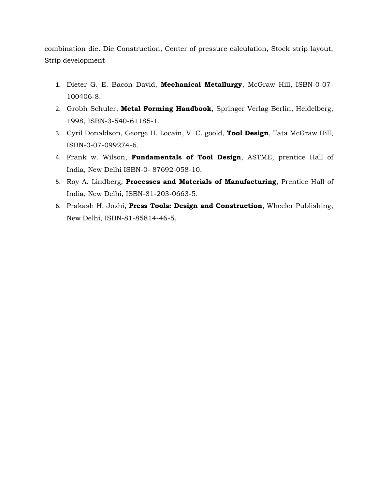combination die. Die Construction, Center of pressure calculation, Stock strip layout, Strip development

- 1. Dieter G. E. Bacon David, **Mechanical Metallurgy**, McGraw Hill, ISBN-0-07- 100406-8.
- 2. Grobh Schuler, **Metal Forming Handbook**, Springer Verlag Berlin, Heidelberg, 1998, ISBN-3-540-61185-1.
- 3. Cyril Donaldson, George H. Locain, V. C. goold, **Tool Design**, Tata McGraw Hill, ISBN-0-07-099274-6.
- 4. Frank w. Wilson, **Fundamentals of Tool Design**, ASTME, prentice Hall of India, New Delhi ISBN-0- 87692-058-10.
- 5. Roy A. Lindberg, **Processes and Materials of Manufacturing**, Prentice Hall of India, New Delhi, ISBN-81-203-0663-5.
- 6. Prakash H. Joshi, **Press Tools: Design and Construction**, Wheeler Publishing, New Delhi, ISBN-81-85814-46-5.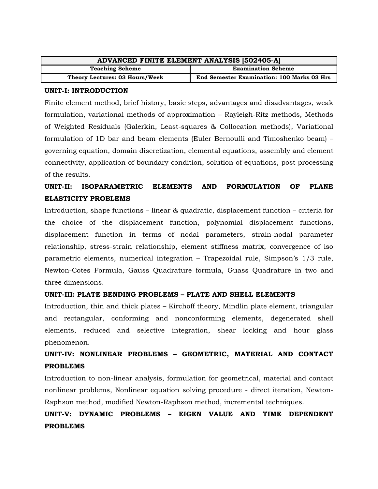| ADVANCED FINITE ELEMENT ANALYSIS [502405-A] |                                                   |  |  |
|---------------------------------------------|---------------------------------------------------|--|--|
| <b>Teaching Scheme</b>                      | <b>Examination Scheme</b>                         |  |  |
| Theory Lectures: 03 Hours/Week              | <b>End Semester Examination: 100 Marks 03 Hrs</b> |  |  |

#### **UNIT-I: INTRODUCTION**

Finite element method, brief history, basic steps, advantages and disadvantages, weak formulation, variational methods of approximation – Rayleigh-Ritz methods, Methods of Weighted Residuals (Galerkin, Least-squares & Collocation methods), Variational formulation of 1D bar and beam elements (Euler Bernoulli and Timoshenko beam) – governing equation, domain discretization, elemental equations, assembly and element connectivity, application of boundary condition, solution of equations, post processing of the results.

# **UNIT-II: ISOPARAMETRIC ELEMENTS AND FORMULATION OF PLANE ELASTICITY PROBLEMS**

Introduction, shape functions – linear & quadratic, displacement function – criteria for the choice of the displacement function, polynomial displacement functions, displacement function in terms of nodal parameters, strain-nodal parameter relationship, stress-strain relationship, element stiffness matrix, convergence of iso parametric elements, numerical integration – Trapezoidal rule, Simpson's 1/3 rule, Newton-Cotes Formula, Gauss Quadrature formula, Guass Quadrature in two and three dimensions.

#### **UNIT-III: PLATE BENDING PROBLEMS – PLATE AND SHELL ELEMENTS**

Introduction, thin and thick plates – Kirchoff theory, Mindlin plate element, triangular and rectangular, conforming and nonconforming elements, degenerated shell elements, reduced and selective integration, shear locking and hour glass phenomenon.

# **UNIT-IV: NONLINEAR PROBLEMS – GEOMETRIC, MATERIAL AND CONTACT PROBLEMS**

Introduction to non-linear analysis, formulation for geometrical, material and contact nonlinear problems, Nonlinear equation solving procedure - direct iteration, Newton-Raphson method, modified Newton-Raphson method, incremental techniques.

# **UNIT-V: DYNAMIC PROBLEMS – EIGEN VALUE AND TIME DEPENDENT PROBLEMS**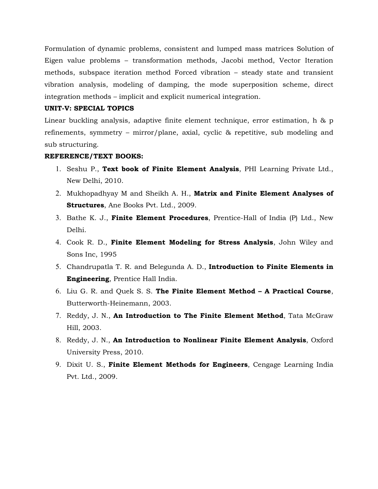Formulation of dynamic problems, consistent and lumped mass matrices Solution of Eigen value problems – transformation methods, Jacobi method, Vector Iteration methods, subspace iteration method Forced vibration – steady state and transient vibration analysis, modeling of damping, the mode superposition scheme, direct integration methods – implicit and explicit numerical integration.

#### **UNIT-V: SPECIAL TOPICS**

Linear buckling analysis, adaptive finite element technique, error estimation, h & p refinements, symmetry – mirror/plane, axial, cyclic & repetitive, sub modeling and sub structuring.

#### **REFERENCE/TEXT BOOKS:**

- 1. Seshu P., **Text book of Finite Element Analysis**, PHI Learning Private Ltd., New Delhi, 2010.
- 2. Mukhopadhyay M and Sheikh A. H., **Matrix and Finite Element Analyses of Structures**, Ane Books Pvt. Ltd., 2009.
- 3. Bathe K. J., **Finite Element Procedures**, Prentice-Hall of India (P) Ltd., New Delhi.
- 4. Cook R. D., **Finite Element Modeling for Stress Analysis**, John Wiley and Sons Inc, 1995
- 5. Chandrupatla T. R. and Belegunda A. D., **Introduction to Finite Elements in Engineering**, Prentice Hall India.
- 6. Liu G. R. and Quek S. S. **The Finite Element Method A Practical Course**, Butterworth-Heinemann, 2003.
- 7. Reddy, J. N., **An Introduction to The Finite Element Method**, Tata McGraw Hill, 2003.
- 8. Reddy, J. N., **An Introduction to Nonlinear Finite Element Analysis**, Oxford University Press, 2010.
- 9. Dixit U. S., **Finite Element Methods for Engineers**, Cengage Learning India Pvt. Ltd., 2009.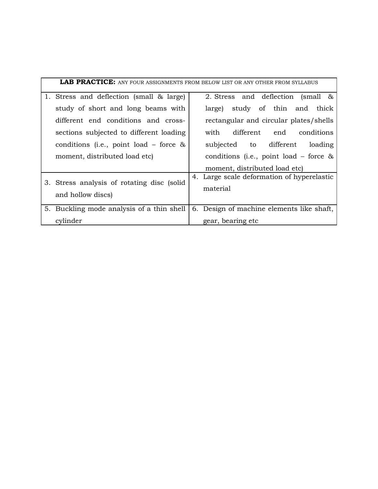|                                                                  | <b>LAB PRACTICE:</b> ANY FOUR ASSIGNMENTS FROM BELOW LIST OR ANY OTHER FROM SYLLABUS |
|------------------------------------------------------------------|--------------------------------------------------------------------------------------|
| 1. Stress and deflection (small & large)                         | 2. Stress and deflection<br>$(s$ mall &                                              |
| study of short and long beams with                               | study of thin and thick<br>large)                                                    |
| different end conditions and cross-                              | rectangular and circular plates/shells                                               |
| sections subjected to different loading                          | different end<br>with<br>conditions                                                  |
| conditions (i.e., point load – force $\&$                        | subjected to different<br>loading                                                    |
| moment, distributed load etc)                                    | conditions (i.e., point load – force $\&$                                            |
|                                                                  | moment, distributed load etc)                                                        |
| 3. Stress analysis of rotating disc (solid)<br>and hollow discs) | 4. Large scale deformation of hyperelastic<br>material                               |
| 5. Buckling mode analysis of a thin shell                        | 6. Design of machine elements like shaft,                                            |
| cylinder                                                         | gear, bearing etc                                                                    |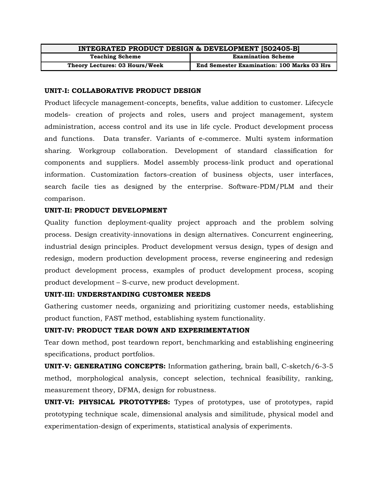| INTEGRATED PRODUCT DESIGN & DEVELOPMENT [502405-B] |                                                   |
|----------------------------------------------------|---------------------------------------------------|
| <b>Teaching Scheme</b>                             | <b>Examination Scheme</b>                         |
| Theory Lectures: 03 Hours/Week                     | <b>End Semester Examination: 100 Marks 03 Hrs</b> |

#### **UNIT-I: COLLABORATIVE PRODUCT DESIGN**

Product lifecycle management-concepts, benefits, value addition to customer. Lifecycle models- creation of projects and roles, users and project management, system administration, access control and its use in life cycle. Product development process and functions. Data transfer. Variants of e-commerce. Multi system information sharing. Workgroup collaboration. Development of standard classification for components and suppliers. Model assembly process-link product and operational information. Customization factors-creation of business objects, user interfaces, search facile ties as designed by the enterprise. Software-PDM/PLM and their comparison.

#### **UNIT-II: PRODUCT DEVELOPMENT**

Quality function deployment-quality project approach and the problem solving process. Design creativity-innovations in design alternatives. Concurrent engineering, industrial design principles. Product development versus design, types of design and redesign, modern production development process, reverse engineering and redesign product development process, examples of product development process, scoping product development – S-curve, new product development.

#### **UNIT-III: UNDERSTANDING CUSTOMER NEEDS**

Gathering customer needs, organizing and prioritizing customer needs, establishing product function, FAST method, establishing system functionality.

#### **UNIT-IV: PRODUCT TEAR DOWN AND EXPERIMENTATION**

Tear down method, post teardown report, benchmarking and establishing engineering specifications, product portfolios.

**UNIT-V: GENERATING CONCEPTS:** Information gathering, brain ball, C-sketch/6-3-5 method, morphological analysis, concept selection, technical feasibility, ranking, measurement theory, DFMA, design for robustness.

**UNIT-VI: PHYSICAL PROTOTYPES:** Types of prototypes, use of prototypes, rapid prototyping technique scale, dimensional analysis and similitude, physical model and experimentation-design of experiments, statistical analysis of experiments.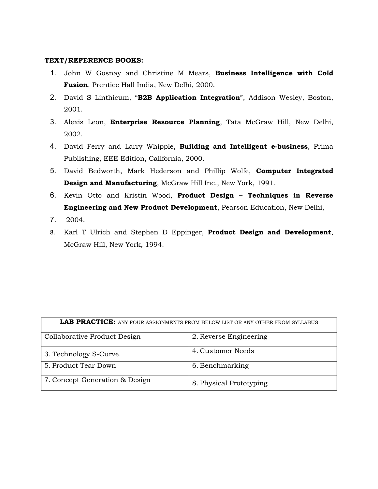#### **TEXT/REFERENCE BOOKS:**

- 1. John W Gosnay and Christine M Mears, **Business Intelligence with Cold Fusion**, Prentice Hall India, New Delhi, 2000.
- 2. David S Linthicum, "**B2B Application Integration**", Addison Wesley, Boston, 2001.
- 3. Alexis Leon, **Enterprise Resource Planning**, Tata McGraw Hill, New Delhi, 2002.
- 4. David Ferry and Larry Whipple, **Building and Intelligent e-business**, Prima Publishing, EEE Edition, California, 2000.
- 5. David Bedworth, Mark Hederson and Phillip Wolfe, **Computer Integrated Design and Manufacturing**, McGraw Hill Inc., New York, 1991.
- 6. Kevin Otto and Kristin Wood, **Product Design Techniques in Reverse Engineering and New Product Development**, Pearson Education, New Delhi,
- 7. 2004.
- 8. Karl T Ulrich and Stephen D Eppinger, **Product Design and Development**, McGraw Hill, New York, 1994.

| <b>LAB PRACTICE:</b> ANY FOUR ASSIGNMENTS FROM BELOW LIST OR ANY OTHER FROM SYLLABUS |                         |  |
|--------------------------------------------------------------------------------------|-------------------------|--|
| Collaborative Product Design                                                         | 2. Reverse Engineering  |  |
| 3. Technology S-Curve.                                                               | 4. Customer Needs       |  |
| 5. Product Tear Down                                                                 | 6. Benchmarking         |  |
| 7. Concept Generation & Design                                                       | 8. Physical Prototyping |  |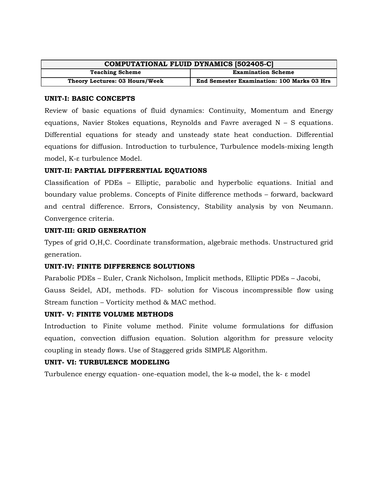| <b>COMPUTATIONAL FLUID DYNAMICS [502405-C]</b> |                                                   |  |
|------------------------------------------------|---------------------------------------------------|--|
| <b>Teaching Scheme</b>                         | <b>Examination Scheme</b>                         |  |
| Theory Lectures: 03 Hours/Week                 | <b>End Semester Examination: 100 Marks 03 Hrs</b> |  |

#### **UNIT-I: BASIC CONCEPTS**

Review of basic equations of fluid dynamics: Continuity, Momentum and Energy equations, Navier Stokes equations, Reynolds and Favre averaged  $N - S$  equations. Differential equations for steady and unsteady state heat conduction. Differential equations for diffusion. Introduction to turbulence, Turbulence models-mixing length model, K-ε turbulence Model.

#### **UNIT-II: PARTIAL DIFFERENTIAL EQUATIONS**

Classification of PDEs – Elliptic, parabolic and hyperbolic equations. Initial and boundary value problems. Concepts of Finite difference methods – forward, backward and central difference. Errors, Consistency, Stability analysis by von Neumann. Convergence criteria.

#### **UNIT-III: GRID GENERATION**

Types of grid O,H,C. Coordinate transformation, algebraic methods. Unstructured grid generation.

#### **UNIT-IV: FINITE DIFFERENCE SOLUTIONS**

Parabolic PDEs – Euler, Crank Nicholson, Implicit methods, Elliptic PDEs – Jacobi, Gauss Seidel, ADI, methods. FD- solution for Viscous incompressible flow using Stream function – Vorticity method & MAC method.

#### **UNIT- V: FINITE VOLUME METHODS**

Introduction to Finite volume method. Finite volume formulations for diffusion equation, convection diffusion equation. Solution algorithm for pressure velocity coupling in steady flows. Use of Staggered grids SIMPLE Algorithm.

#### **UNIT- VI: TURBULENCE MODELING**

Turbulence energy equation- one-equation model, the k-ω model, the k- ε model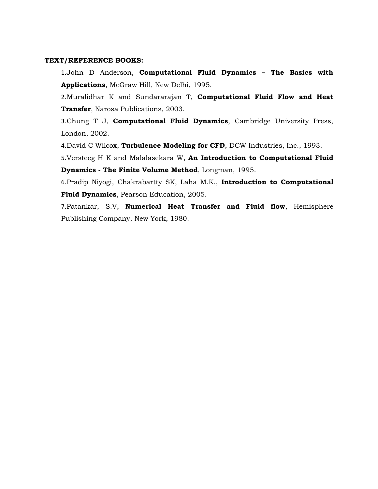#### **TEXT/REFERENCE BOOKS:**

1.John D Anderson, **Computational Fluid Dynamics – The Basics with Applications**, McGraw Hill, New Delhi, 1995.

2.Muralidhar K and Sundararajan T, **Computational Fluid Flow and Heat Transfer**, Narosa Publications, 2003.

3.Chung T J, **Computational Fluid Dynamics**, Cambridge University Press, London, 2002.

4.David C Wilcox, **Turbulence Modeling for CFD**, DCW Industries, Inc., 1993.

5.Versteeg H K and Malalasekara W, **An Introduction to Computational Fluid Dynamics - The Finite Volume Method**, Longman, 1995.

6.Pradip Niyogi, Chakrabartty SK, Laha M.K., **Introduction to Computational Fluid Dynamics**, Pearson Education, 2005.

7.Patankar, S.V, **Numerical Heat Transfer and Fluid flow**, Hemisphere Publishing Company, New York, 1980.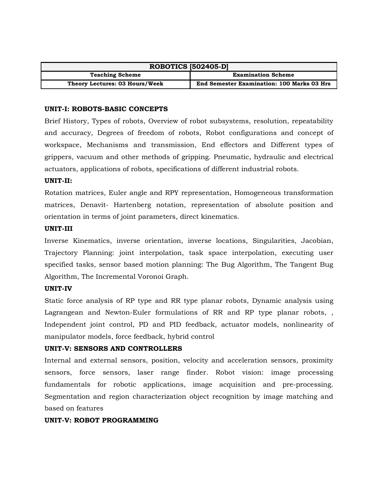| <b>ROBOTICS [502405-D]</b>     |                                                   |  |
|--------------------------------|---------------------------------------------------|--|
| <b>Teaching Scheme</b>         | <b>Examination Scheme</b>                         |  |
| Theory Lectures: 03 Hours/Week | <b>End Semester Examination: 100 Marks 03 Hrs</b> |  |

#### **UNIT-I: ROBOTS-BASIC CONCEPTS**

Brief History, Types of robots, Overview of robot subsystems, resolution, repeatability and accuracy, Degrees of freedom of robots, Robot configurations and concept of workspace, Mechanisms and transmission, End effectors and Different types of grippers, vacuum and other methods of gripping. Pneumatic, hydraulic and electrical actuators, applications of robots, specifications of different industrial robots.

#### **UNIT-II:**

Rotation matrices, Euler angle and RPY representation, Homogeneous transformation matrices, Denavit- Hartenberg notation, representation of absolute position and orientation in terms of joint parameters, direct kinematics.

#### **UNIT-III**

Inverse Kinematics, inverse orientation, inverse locations, Singularities, Jacobian, Trajectory Planning: joint interpolation, task space interpolation, executing user specified tasks, sensor based motion planning: The Bug Algorithm, The Tangent Bug Algorithm, The Incremental Voronoi Graph.

#### **UNIT-IV**

Static force analysis of RP type and RR type planar robots, Dynamic analysis using Lagrangean and Newton-Euler formulations of RR and RP type planar robots, , Independent joint control, PD and PID feedback, actuator models, nonlinearity of manipulator models, force feedback, hybrid control

#### **UNIT-V: SENSORS AND CONTROLLERS**

Internal and external sensors, position, velocity and acceleration sensors, proximity sensors, force sensors, laser range finder. Robot vision: image processing fundamentals for robotic applications, image acquisition and pre-processing. Segmentation and region characterization object recognition by image matching and based on features

#### **UNIT-V: ROBOT PROGRAMMING**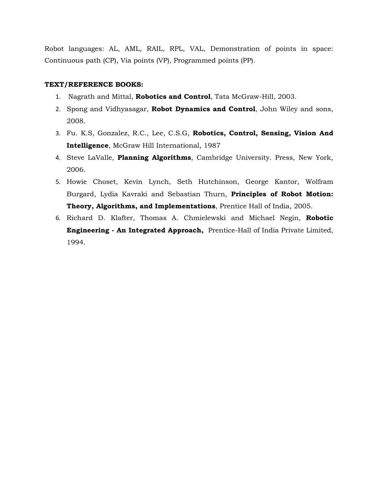Robot languages: AL, AML, RAIL, RPL, VAL, Demonstration of points in space: Continuous path (CP), Via points (VP), Programmed points (PP).

#### **TEXT/REFERENCE BOOKS:**

- 1. Nagrath and Mittal, **Robotics and Control**, Tata McGraw-Hill, 2003.
- 2. Spong and Vidhyasagar, **Robot Dynamics and Control**, John Wiley and sons, 2008.
- 3. Fu. K.S, Gonzalez, R.C., Lee, C.S.G, **Robotics, Control, Sensing, Vision And Intelligence**, McGraw Hill International, 1987
- 4. Steve LaValle, **Planning Algorithms**, Cambridge University. Press, New York, 2006.
- 5. Howie Choset, Kevin Lynch, Seth Hutchinson, George Kantor, Wolfram Burgard, Lydia Kavraki and Sebastian Thurn, **Principles of Robot Motion: Theory, Algorithms, and Implementations**, Prentice Hall of India, 2005.
- 6. Richard D. Klafter, Thomas A. Chmielewski and Michael Negin, **Robotic Engineering - An Integrated Approach,** Prentice-Hall of India Private Limited, 1994.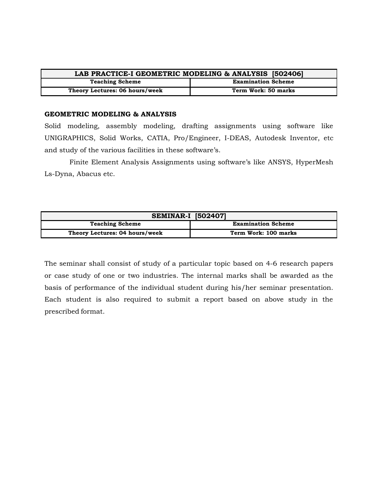| LAB PRACTICE-I GEOMETRIC MODELING & ANALYSIS [502406] |                           |
|-------------------------------------------------------|---------------------------|
| <b>Teaching Scheme</b>                                | <b>Examination Scheme</b> |
| Theory Lectures: 06 hours/week                        | Term Work: 50 marks       |

#### **GEOMETRIC MODELING & ANALYSIS**

Solid modeling, assembly modeling, drafting assignments using software like UNIGRAPHICS, Solid Works, CATIA, Pro/Engineer, I-DEAS, Autodesk Inventor, etc and study of the various facilities in these software's.

 Finite Element Analysis Assignments using software's like ANSYS, HyperMesh Ls-Dyna, Abacus etc.

| <b>SEMINAR-I [502407]</b>      |                           |
|--------------------------------|---------------------------|
| <b>Teaching Scheme</b>         | <b>Examination Scheme</b> |
| Theory Lectures: 04 hours/week | Term Work: 100 marks      |

The seminar shall consist of study of a particular topic based on 4-6 research papers or case study of one or two industries. The internal marks shall be awarded as the basis of performance of the individual student during his/her seminar presentation. Each student is also required to submit a report based on above study in the prescribed format.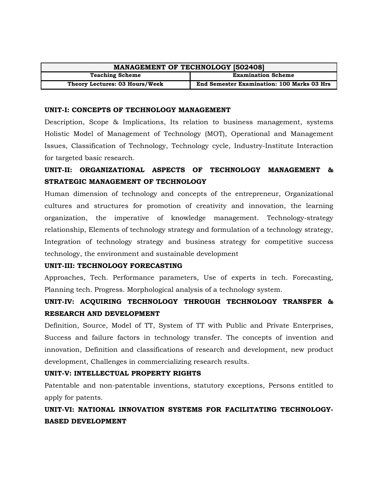| <b>MANAGEMENT OF TECHNOLOGY [502408]</b> |                                                   |  |
|------------------------------------------|---------------------------------------------------|--|
| <b>Teaching Scheme</b>                   | <b>Examination Scheme</b>                         |  |
| Theory Lectures: 03 Hours/Week           | <b>End Semester Examination: 100 Marks 03 Hrs</b> |  |

#### **UNIT-I: CONCEPTS OF TECHNOLOGY MANAGEMENT**

Description, Scope & Implications, Its relation to business management, systems Holistic Model of Management of Technology (MOT), Operational and Management Issues, Classification of Technology, Technology cycle, Industry-Institute Interaction for targeted basic research.

# **UNIT-II: ORGANIZATIONAL ASPECTS OF TECHNOLOGY MANAGEMENT & STRATEGIC MANAGEMENT OF TECHNOLOGY**

Human dimension of technology and concepts of the entrepreneur, Organizational cultures and structures for promotion of creativity and innovation, the learning organization, the imperative of knowledge management. Technology-strategy relationship, Elements of technology strategy and formulation of a technology strategy, Integration of technology strategy and business strategy for competitive success technology, the environment and sustainable development

#### **UNIT-III: TECHNOLOGY FORECASTING**

Approaches, Tech. Performance parameters, Use of experts in tech. Forecasting, Planning tech. Progress. Morphological analysis of a technology system.

# **UNIT-IV: ACQUIRING TECHNOLOGY THROUGH TECHNOLOGY TRANSFER & RESEARCH AND DEVELOPMENT**

Definition, Source, Model of TT, System of TT with Public and Private Enterprises, Success and failure factors in technology transfer. The concepts of invention and innovation, Definition and classifications of research and development, new product development, Challenges in commercializing research results.

#### **UNIT-V: INTELLECTUAL PROPERTY RIGHTS**

Patentable and non-patentable inventions, statutory exceptions, Persons entitled to apply for patents.

# **UNIT-VI: NATIONAL INNOVATION SYSTEMS FOR FACILITATING TECHNOLOGY-BASED DEVELOPMENT**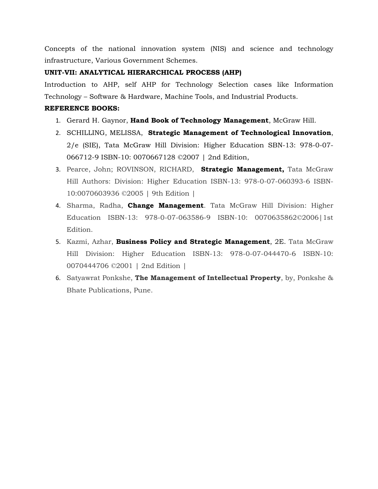Concepts of the national innovation system (NIS) and science and technology infrastructure, Various Government Schemes.

# **UNIT-VII: ANALYTICAL HIERARCHICAL PROCESS (AHP)**

Introduction to AHP, self AHP for Technology Selection cases like Information Technology – Software & Hardware, Machine Tools, and Industrial Products.

### **REFERENCE BOOKS:**

- 1. Gerard H. Gaynor, **Hand Book of Technology Management**, McGraw Hill.
- 2. SCHILLING, MELISSA, **Strategic Management of Technological Innovation**, 2/e (SIE), Tata McGraw Hill Division: Higher Education SBN-13: 978-0-07- 066712-9 ISBN-10: 0070667128 ©2007 | 2nd Edition,
- 3. Pearce, John; ROVINSON, RICHARD, **Strategic Management,** Tata McGraw Hill Authors: Division: Higher Education ISBN-13: 978-0-07-060393-6 ISBN-10:0070603936 ©2005 | 9th Edition |
- 4. Sharma, Radha, **Change Management**. Tata McGraw Hill Division: Higher Education ISBN-13: 978-0-07-063586-9 ISBN-10: 0070635862©2006|1st Edition.
- 5. Kazmi, Azhar, **Business Policy and Strategic Management**, 2E. Tata McGraw Hill Division: Higher Education ISBN-13: 978-0-07-044470-6 ISBN-10: 0070444706 ©2001 | 2nd Edition |
- 6. Satyawrat Ponkshe, **The Management of Intellectual Property**, by, Ponkshe & Bhate Publications, Pune.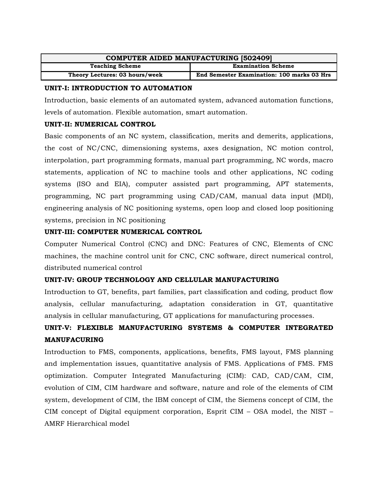| <b>COMPUTER AIDED MANUFACTURING [502409]</b> |                                                   |
|----------------------------------------------|---------------------------------------------------|
| <b>Teaching Scheme</b>                       | <b>Examination Scheme</b>                         |
| Theory Lectures: 03 hours/week               | <b>End Semester Examination: 100 marks 03 Hrs</b> |

#### **UNIT-I: INTRODUCTION TO AUTOMATION**

Introduction, basic elements of an automated system, advanced automation functions, levels of automation. Flexible automation, smart automation.

# **UNIT-II: NUMERICAL CONTROL**

Basic components of an NC system, classification, merits and demerits, applications, the cost of NC/CNC, dimensioning systems, axes designation, NC motion control, interpolation, part programming formats, manual part programming, NC words, macro statements, application of NC to machine tools and other applications, NC coding systems (ISO and EIA), computer assisted part programming, APT statements, programming, NC part programming using CAD/CAM, manual data input (MDI), engineering analysis of NC positioning systems, open loop and closed loop positioning systems, precision in NC positioning

#### **UNIT-III: COMPUTER NUMERICAL CONTROL**

Computer Numerical Control (CNC) and DNC: Features of CNC, Elements of CNC machines, the machine control unit for CNC, CNC software, direct numerical control, distributed numerical control

# **UNIT-IV: GROUP TECHNOLOGY AND CELLULAR MANUFACTURING**

Introduction to GT, benefits, part families, part classification and coding, product flow analysis, cellular manufacturing, adaptation consideration in GT, quantitative analysis in cellular manufacturing, GT applications for manufacturing processes.

# **UNIT-V: FLEXIBLE MANUFACTURING SYSTEMS & COMPUTER INTEGRATED MANUFACURING**

Introduction to FMS, components, applications, benefits, FMS layout, FMS planning and implementation issues, quantitative analysis of FMS. Applications of FMS. FMS optimization. Computer Integrated Manufacturing (CIM): CAD, CAD/CAM, CIM, evolution of CIM, CIM hardware and software, nature and role of the elements of CIM system, development of CIM, the IBM concept of CIM, the Siemens concept of CIM, the CIM concept of Digital equipment corporation, Esprit CIM – OSA model, the NIST – AMRF Hierarchical model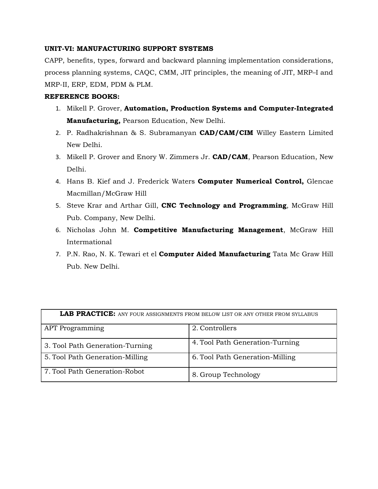#### **UNIT-VI: MANUFACTURING SUPPORT SYSTEMS**

CAPP, benefits, types, forward and backward planning implementation considerations, process planning systems, CAQC, CMM, JIT principles, the meaning of JIT, MRP–I and MRP-II, ERP, EDM, PDM & PLM.

#### **REFERENCE BOOKS:**

- 1. Mikell P. Grover, **Automation, Production Systems and Computer-Integrated Manufacturing,** Pearson Education, New Delhi.
- 2. P. Radhakrishnan & S. Subramanyan **CAD/CAM/CIM** Willey Eastern Limited New Delhi.
- 3. Mikell P. Grover and Enory W. Zimmers Jr. **CAD/CAM**, Pearson Education, New Delhi.
- 4. Hans B. Kief and J. Frederick Waters **Computer Numerical Control,** Glencae Macmillan/McGraw Hill
- 5. Steve Krar and Arthar Gill, **CNC Technology and Programming**, McGraw Hill Pub. Company, New Delhi.
- 6. Nicholas John M. **Competitive Manufacturing Management**, McGraw Hill Intermational
- 7. P.N. Rao, N. K. Tewari et el **Computer Aided Manufacturing** Tata Mc Graw Hill Pub. New Delhi.

| <b>LAB PRACTICE:</b> ANY FOUR ASSIGNMENTS FROM BELOW LIST OR ANY OTHER FROM SYLLABUS |                                 |  |
|--------------------------------------------------------------------------------------|---------------------------------|--|
| <b>APT</b> Programming                                                               | 2. Controllers                  |  |
| 3. Tool Path Generation-Turning                                                      | 4. Tool Path Generation-Turning |  |
| 5. Tool Path Generation-Milling                                                      | 6. Tool Path Generation-Milling |  |
| 7. Tool Path Generation-Robot                                                        | 8. Group Technology             |  |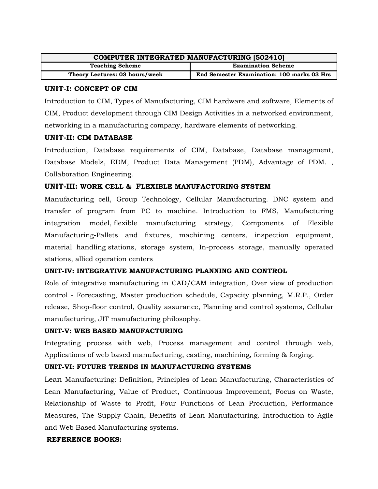| <b>COMPUTER INTEGRATED MANUFACTURING [502410]</b> |                                            |
|---------------------------------------------------|--------------------------------------------|
| <b>Teaching Scheme</b>                            | <b>Examination Scheme</b>                  |
| Theory Lectures: 03 hours/week                    | End Semester Examination: 100 marks 03 Hrs |

#### **UNIT-I: CONCEPT OF CIM**

Introduction to CIM, Types of Manufacturing, CIM hardware and software, Elements of CIM, Product development through CIM Design Activities in a networked environment, networking in a manufacturing company, hardware elements of networking.

#### **UNIT-II: CIM DATABASE**

Introduction, Database requirements of CIM, Database, Database management, Database Models, EDM, Product Data Management (PDM), Advantage of PDM. , Collaboration Engineering.

# **UNIT-III: WORK CELL & FLEXIBLE MANUFACTURING SYSTEM**

Manufacturing cell, Group Technology, Cellular Manufacturing. DNC system and transfer of program from PC to machine. Introduction to FMS, Manufacturing integration model, flexible manufacturing strategy, Components of Flexible Manufacturing**-**Pallets and fixtures, machining centers, inspection equipment, material handling stations, storage system, In-process storage, manually operated stations, allied operation centers

#### **UNIT-IV: INTEGRATIVE MANUFACTURING PLANNING AND CONTROL**

Role of integrative manufacturing in CAD/CAM integration, Over view of production control - Forecasting, Master production schedule, Capacity planning, M.R.P., Order release, Shop-floor control, Quality assurance, Planning and control systems, Cellular manufacturing, JIT manufacturing philosophy.

#### **UNIT-V: WEB BASED MANUFACTURING**

Integrating process with web, Process management and control through web, Applications of web based manufacturing, casting, machining, forming & forging.

# **UNIT-VI: FUTURE TRENDS IN MANUFACTURING SYSTEMS**

Lean Manufacturing: Definition, Principles of Lean Manufacturing, Characteristics of Lean Manufacturing, Value of Product, Continuous Improvement, Focus on Waste, Relationship of Waste to Profit, Four Functions of Lean Production, Performance Measures, The Supply Chain, Benefits of Lean Manufacturing. Introduction to Agile and Web Based Manufacturing systems.

#### **REFERENCE BOOKS:**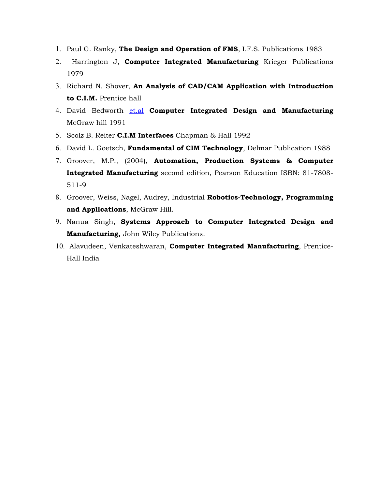- 1. Paul G. Ranky, **The Design and Operation of FMS**, I.F.S. Publications 1983
- 2. Harrington J, **Computer Integrated Manufacturing** Krieger Publications 1979
- 3. Richard N. Shover, **An Analysis of CAD/CAM Application with Introduction to C.I.M.** Prentice hall
- 4. David Bedworth [et.al](http://et.al/) **Computer Integrated Design and Manufacturing** McGraw hill 1991
- 5. Scolz B. Reiter **C.I.M Interfaces** Chapman & Hall 1992
- 6. David L. Goetsch, **Fundamental of CIM Technology**, Delmar Publication 1988
- 7. Groover, M.P., (2004), **Automation, Production Systems & Computer Integrated Manufacturing** second edition, Pearson Education ISBN: 81-7808- 511-9
- 8. Groover, Weiss, Nagel, Audrey, Industrial **Robotics-Technology, Programming and Applications**, McGraw Hill.
- 9. Nanua Singh, **Systems Approach to Computer Integrated Design and Manufacturing,** John Wiley Publications.
- 10. Alavudeen, Venkateshwaran, **Computer Integrated Manufacturing**, Prentice-Hall India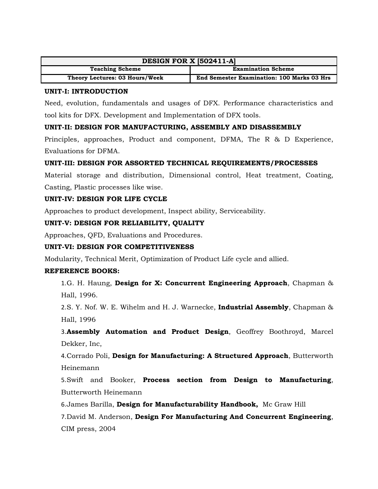| <b>DESIGN FOR X [502411-A]</b> |                                                   |  |
|--------------------------------|---------------------------------------------------|--|
| <b>Teaching Scheme</b>         | <b>Examination Scheme</b>                         |  |
| Theory Lectures: 03 Hours/Week | <b>End Semester Examination: 100 Marks 03 Hrs</b> |  |

### **UNIT-I: INTRODUCTION**

Need, evolution, fundamentals and usages of DFX. Performance characteristics and tool kits for DFX. Development and Implementation of DFX tools.

# **UNIT-II: DESIGN FOR MANUFACTURING, ASSEMBLY AND DISASSEMBLY**

Principles, approaches, Product and component, DFMA, The R & D Experience, Evaluations for DFMA.

# **UNIT-III: DESIGN FOR ASSORTED TECHNICAL REQUIREMENTS/PROCESSES**

Material storage and distribution, Dimensional control, Heat treatment, Coating, Casting, Plastic processes like wise.

# **UNIT-IV: DESIGN FOR LIFE CYCLE**

Approaches to product development, Inspect ability, Serviceability.

# **UNIT-V: DESIGN FOR RELIABILITY, QUALITY**

Approaches, QFD, Evaluations and Procedures.

# **UNIT-VI: DESIGN FOR COMPETITIVENESS**

Modularity, Technical Merit, Optimization of Product Life cycle and allied.

#### **REFERENCE BOOKS:**

1.G. H. Haung, **Design for X: Concurrent Engineering Approach**, Chapman & Hall, 1996.

2.S. Y. Nof. W. E. Wihelm and H. J. Warnecke, **Industrial Assembly**, Chapman & Hall, 1996

3.**Assembly Automation and Product Design**, Geoffrey Boothroyd, Marcel Dekker, Inc,

4.Corrado Poli, **Design for Manufacturing: A Structured Approach**, Butterworth Heinemann

5.Swift and Booker, **Process section from Design to Manufacturing**, Butterworth Heinemann

6.James Barilla, **Design for Manufacturability Handbook,** Mc Graw Hill

7.David M. Anderson, **Design For Manufacturing And Concurrent Engineering**, CIM press, 2004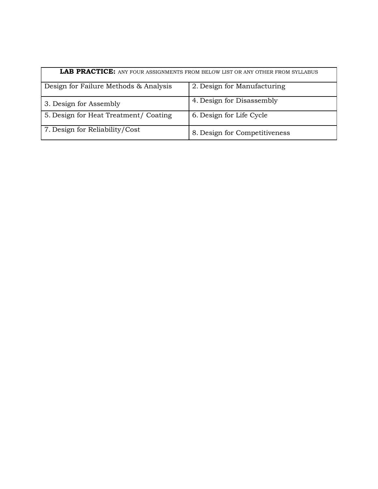| <b>LAB PRACTICE:</b> ANY FOUR ASSIGNMENTS FROM BELOW LIST OR ANY OTHER FROM SYLLABUS |                               |
|--------------------------------------------------------------------------------------|-------------------------------|
| Design for Failure Methods & Analysis                                                | 2. Design for Manufacturing   |
| 3. Design for Assembly                                                               | 4. Design for Disassembly     |
| 5. Design for Heat Treatment/ Coating                                                | 6. Design for Life Cycle      |
| 7. Design for Reliability/Cost                                                       | 8. Design for Competitiveness |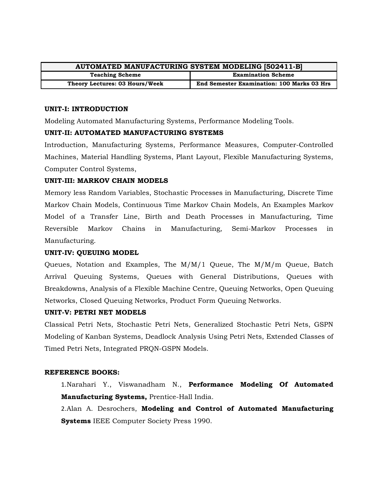| <b>AUTOMATED MANUFACTURING SYSTEM MODELING [502411-B]</b> |                                                   |
|-----------------------------------------------------------|---------------------------------------------------|
| <b>Teaching Scheme</b>                                    | <b>Examination Scheme</b>                         |
| Theory Lectures: 03 Hours/Week                            | <b>End Semester Examination: 100 Marks 03 Hrs</b> |

#### **UNIT-I: INTRODUCTION**

Modeling Automated Manufacturing Systems, Performance Modeling Tools.

#### **UNIT-II: AUTOMATED MANUFACTURING SYSTEMS**

Introduction, Manufacturing Systems, Performance Measures, Computer-Controlled Machines, Material Handling Systems, Plant Layout, Flexible Manufacturing Systems, Computer Control Systems,

#### **UNIT-III: MARKOV CHAIN MODELS**

Memory less Random Variables, Stochastic Processes in Manufacturing, Discrete Time Markov Chain Models, Continuous Time Markov Chain Models, An Examples Markov Model of a Transfer Line, Birth and Death Processes in Manufacturing, Time Reversible Markov Chains in Manufacturing, Semi-Markov Processes in Manufacturing.

#### **UNIT-IV: QUEUING MODEL**

Queues, Notation and Examples, The M/M/1 Queue, The M/M/m Queue, Batch Arrival Queuing Systems, Queues with General Distributions, Queues with Breakdowns, Analysis of a Flexible Machine Centre, Queuing Networks, Open Queuing Networks, Closed Queuing Networks, Product Form Queuing Networks.

#### **UNIT-V: PETRI NET MODELS**

Classical Petri Nets, Stochastic Petri Nets, Generalized Stochastic Petri Nets, GSPN Modeling of Kanban Systems, Deadlock Analysis Using Petri Nets, Extended Classes of Timed Petri Nets, Integrated PRQN-GSPN Models.

#### **REFERENCE BOOKS:**

1.Narahari Y., Viswanadham N., **Performance Modeling Of Automated Manufacturing Systems,** Prentice-Hall India.

2.[Alan A. Desrochers,](http://www.google.co.in/search?tbo=p&tbm=bks&q=inauthor:%22Alan+A.+Desrochers%22&source=gbs_metadata_r&cad=7) **Modeling and Control of Automated Manufacturing Systems** [IEEE Computer Society Press 1](http://www.google.co.in/search?tbo=p&tbm=bks&q=bibliogroup:%22IEEE+Computer+Society+Press+tutorial%22&source=gbs_metadata_r&cad=7)990.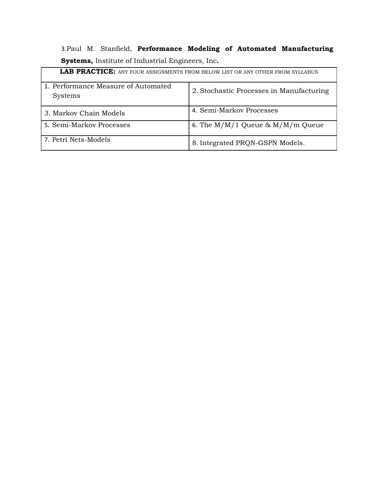3.[Paul M. Stanfield,](http://www.amazon.com/s/ref=ntt_athr_dp_sr_1/178-1673104-0595607/178-1673104-0595607?_encoding=UTF8&field-author=Paul%20M.%20Stanfield&search-alias=books&sort=relevancerank) **Performance Modeling of Automated Manufacturing Systems,** Institute of Industrial Engineers, Inc**.**

| <b>LAB PRACTICE:</b> ANY FOUR ASSIGNMENTS FROM BELOW LIST OR ANY OTHER FROM SYLLABUS |                                          |
|--------------------------------------------------------------------------------------|------------------------------------------|
| 1. Performance Measure of Automated<br><b>Systems</b>                                | 2. Stochastic Processes in Manufacturing |
| 3. Markov Chain Models                                                               | 4. Semi-Markov Processes                 |
| 5. Semi-Markov Processes                                                             | 6. The $M/M/1$ Queue & $M/M/m$ Queue     |
| 7. Petri Nets-Models                                                                 | 8. Integrated PRQN-GSPN Models.          |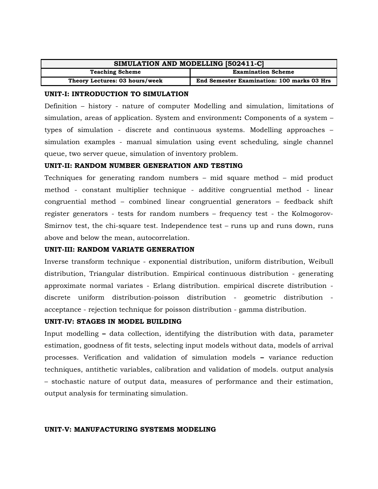| SIMULATION AND MODELLING [502411-C] |                                                   |
|-------------------------------------|---------------------------------------------------|
| <b>Teaching Scheme</b>              | <b>Examination Scheme</b>                         |
| Theory Lectures: 03 hours/week      | <b>End Semester Examination: 100 marks 03 Hrs</b> |

#### **UNIT-I: INTRODUCTION TO SIMULATION**

Definition – history - nature of computer Modelling and simulation, limitations of simulation, areas of application. System and environment**:** Components of a system – types of simulation - discrete and continuous systems. Modelling approaches – simulation examples - manual simulation using event scheduling, single channel queue, two server queue, simulation of inventory problem.

#### **UNIT-II: RANDOM NUMBER GENERATION AND TESTING**

Techniques for generating random numbers – mid square method – mid product method - constant multiplier technique - additive congruential method - linear congruential method – combined linear congruential generators – feedback shift register generators - tests for random numbers – frequency test - the Kolmogorov-Smirnov test, the chi-square test. Independence test – runs up and runs down, runs above and below the mean, autocorrelation.

#### **UNIT-III: RANDOM VARIATE GENERATION**

Inverse transform technique - exponential distribution, uniform distribution, Weibull distribution, Triangular distribution. Empirical continuous distribution - generating approximate normal variates - Erlang distribution. empirical discrete distribution discrete uniform distribution-poisson distribution - geometric distribution acceptance - rejection technique for poisson distribution - gamma distribution.

#### **UNIT-IV: STAGES IN MODEL BUILDING**

Input modelling **–** data collection, identifying the distribution with data, parameter estimation, goodness of fit tests, selecting input models without data, models of arrival processes. Verification and validation of simulation models **–** variance reduction techniques, antithetic variables, calibration and validation of models. output analysis – stochastic nature of output data, measures of performance and their estimation, output analysis for terminating simulation.

#### **UNIT-V: MANUFACTURING SYSTEMS MODELING**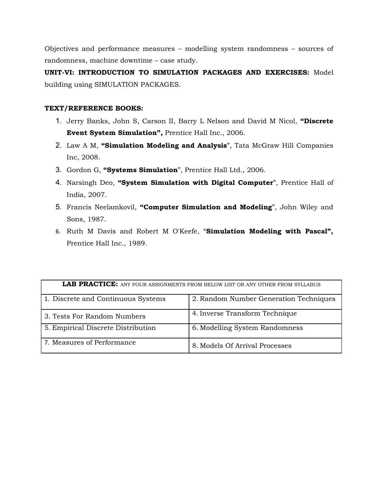Objectives and performance measures – modelling system randomness – sources of randomness, machine downtime – case study.

**UNIT-VI: INTRODUCTION TO SIMULATION PACKAGES AND EXERCISES:** Model building using SIMULATION PACKAGES.

#### **TEXT/REFERENCE BOOKS:**

- 1. Jerry Banks, John S, Carson II, Barry L Nelson and David M Nicol, **"Discrete Event System Simulation",** Prentice Hall Inc., 2006.
- 2. Law A M, **"Simulation Modeling and Analysis**", Tata McGraw Hill Companies Inc, 2008.
- 3. Gordon G, **"Systems Simulation**", Prentice Hall Ltd., 2006.
- 4. Narsingh Deo, **"System Simulation with Digital Computer**", Prentice Hall of India, 2007.
- 5. Francis Neelamkovil, **"Computer Simulation and Modeling**", John Wiley and Sons, 1987.
- 6. Ruth M Davis and Robert M O'Keefe, "**Simulation Modeling with Pascal",** Prentice Hall Inc., 1989.

| <b>LAB PRACTICE:</b> ANY FOUR ASSIGNMENTS FROM BELOW LIST OR ANY OTHER FROM SYLLABUS |                                        |
|--------------------------------------------------------------------------------------|----------------------------------------|
| 1. Discrete and Continuous Systems                                                   | 2. Random Number Generation Techniques |
| 3. Tests For Random Numbers                                                          | 4. Inverse Transform Technique         |
| 5. Empirical Discrete Distribution                                                   | 6. Modelling System Randomness         |
| 7. Measures of Performance                                                           | 8. Models Of Arrival Processes         |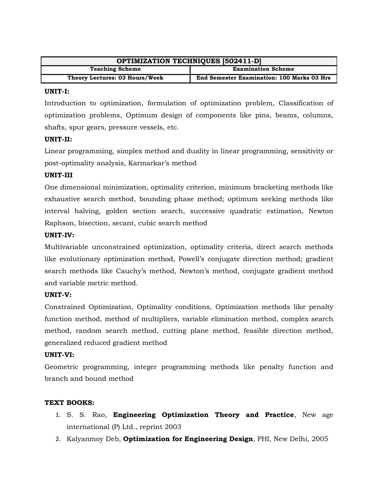| <b>OPTIMIZATION TECHNIQUES [502411-D]</b> |                                                   |
|-------------------------------------------|---------------------------------------------------|
| <b>Teaching Scheme</b>                    | <b>Examination Scheme</b>                         |
| Theory Lectures: 03 Hours/Week            | <b>End Semester Examination: 100 Marks 03 Hrs</b> |

#### **UNIT-I:**

Introduction to optimization, formulation of optimization problem, Classification of optimization problems, Optimum design of components like pins, beams, columns, shafts, spur gears, pressure vessels, etc.

#### **UNIT-II:**

Linear programming, simplex method and duality in linear programming, sensitivity or post-optimality analysis, Karmarkar's method

#### **UNIT-III**

One dimensional minimization, optimality criterion, minimum bracketing methods like exhaustive search method, bounding phase method; optimum seeking methods like interval halving, golden section search, successive quadratic estimation, Newton Raphson, bisection, secant, cubic search method

#### **UNIT-IV:**

Multivariable unconstrained optimization, optimality criteria, direct search methods like evolutionary optimization method, Powell's conjugate direction method; gradient search methods like Cauchy's method, Newton's method, conjugate gradient method and variable metric method.

#### **UNIT-V:**

Constrained Optimization, Optimality conditions, Optimization methods like penalty function method, method of multipliers, variable elimination method, complex search method, random search method, cutting plane method, feasible direction method, generalized reduced gradient method

#### **UNIT-VI:**

Geometric programming, integer programming methods like penalty function and branch and bound method

#### **TEXT BOOKS:**

- 1. S. S. Rao, **Engineering Optimization Theory and Practice**, New age international (P) Ltd., reprint 2003
- 2. Kalyanmoy Deb, **Optimization for Engineering Design**, PHI, New Delhi, 2005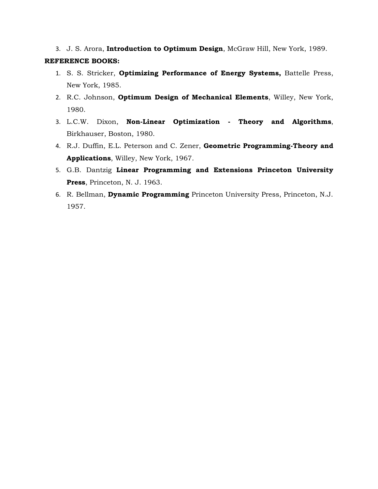3. J. S. Arora, **Introduction to Optimum Design**, McGraw Hill, New York, 1989. **REFERENCE BOOKS:**

- 1. S. S. Stricker, **Optimizing Performance of Energy Systems,** Battelle Press, New York, 1985.
- 2. R.C. Johnson, **Optimum Design of Mechanical Elements**, Willey, New York, 1980.
- 3. L.C.W. Dixon, **Non-Linear Optimization Theory and Algorithms**, Birkhauser, Boston, 1980.
- 4. R.J. Duffin, E.L. Peterson and C. Zener, **Geometric Programming-Theory and Applications**, Willey, New York, 1967.
- 5. G.B. Dantzig **Linear Programming and Extensions Princeton University Press**, Princeton, N. J. 1963.
- 6. R. Bellman, **Dynamic Programming** Princeton University Press, Princeton, N.J. 1957.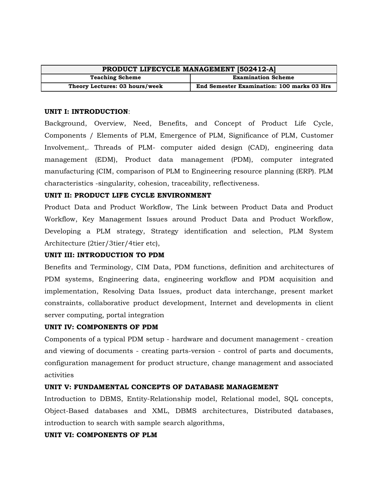| PRODUCT LIFECYCLE MANAGEMENT [502412-A] |                                            |
|-----------------------------------------|--------------------------------------------|
| <b>Teaching Scheme</b>                  | <b>Examination Scheme</b>                  |
| Theory Lectures: 03 hours/week          | End Semester Examination: 100 marks 03 Hrs |

#### **UNIT I: INTRODUCTION**:

Background, Overview, Need, Benefits, and Concept of Product Life Cycle, Components / Elements of PLM, Emergence of PLM, Significance of PLM, Customer Involvement,. Threads of PLM- computer aided design (CAD), engineering data management (EDM), Product data management (PDM), computer integrated manufacturing (CIM, comparison of PLM to Engineering resource planning (ERP). PLM characteristics -singularity, cohesion, traceability, reflectiveness.

#### **UNIT II: PRODUCT LIFE CYCLE ENVIRONMENT**

Product Data and Product Workflow, The Link between Product Data and Product Workflow, Key Management Issues around Product Data and Product Workflow, Developing a PLM strategy, Strategy identification and selection, PLM System Architecture (2tier/3tier/4tier etc),

#### **UNIT III: INTRODUCTION TO PDM**

Benefits and Terminology, CIM Data, PDM functions, definition and architectures of PDM systems, Engineering data, engineering workflow and PDM acquisition and implementation, Resolving Data Issues, product data interchange, present market constraints, collaborative product development, Internet and developments in client server computing, portal integration

#### **UNIT IV: COMPONENTS OF PDM**

Components of a typical PDM setup - hardware and document management - creation and viewing of documents - creating parts-version - control of parts and documents, configuration management for product structure, change management and associated activities

#### **UNIT V: FUNDAMENTAL CONCEPTS OF DATABASE MANAGEMENT**

Introduction to DBMS, Entity-Relationship model, Relational model, SQL concepts, Object-Based databases and XML, DBMS architectures, Distributed databases, introduction to search with sample search algorithms,

#### **UNIT VI: COMPONENTS OF PLM**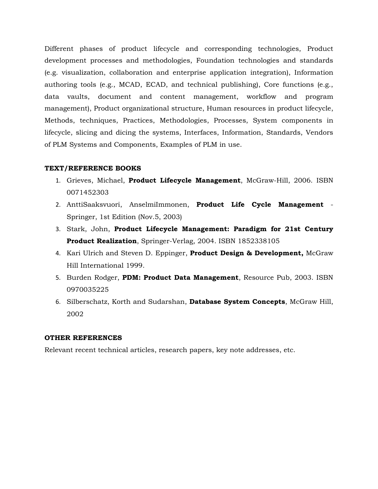Different phases of product lifecycle and corresponding technologies, Product development processes and methodologies, Foundation technologies and standards (e.g. visualization, collaboration and enterprise application integration), Information authoring tools (e.g., MCAD, ECAD, and technical publishing), Core functions (e.g., data vaults, document and content management, workflow and program management), Product organizational structure, Human resources in product lifecycle, Methods, techniques, Practices, Methodologies, Processes, System components in lifecycle, slicing and dicing the systems, Interfaces, Information, Standards, Vendors of PLM Systems and Components, Examples of PLM in use.

#### **TEXT/REFERENCE BOOKS**

- 1. Grieves, Michael, **Product Lifecycle Management**, McGraw-Hill, 2006. ISBN 0071452303
- 2. AnttiSaaksvuori, AnselmiImmonen, **Product Life Cycle Management** Springer, 1st Edition (Nov.5, 2003)
- 3. Stark, John, **Product Lifecycle Management: Paradigm for 21st Century Product Realization**, Springer-Verlag, 2004. ISBN 1852338105
- 4. Kari Ulrich and Steven D. Eppinger, **Product Design & Development,** McGraw Hill International 1999.
- 5. Burden Rodger, **PDM: Product Data Management**, Resource Pub, 2003. ISBN 0970035225
- 6. Silberschatz, Korth and Sudarshan, **Database System Concepts**, McGraw Hill, 2002

#### **OTHER REFERENCES**

Relevant recent technical articles, research papers, key note addresses, etc.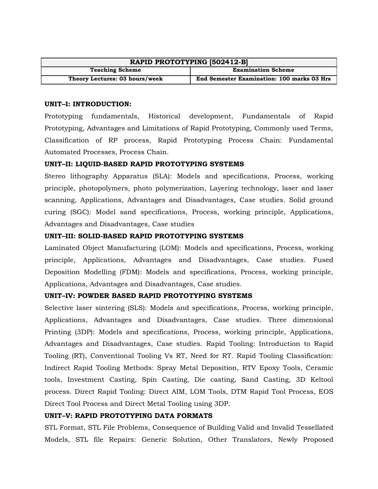| RAPID PROTOTYPING [502412-B]   |                                            |
|--------------------------------|--------------------------------------------|
| <b>Teaching Scheme</b>         | <b>Examination Scheme</b>                  |
| Theory Lectures: 03 hours/week | End Semester Examination: 100 marks 03 Hrs |

#### **UNIT–I: INTRODUCTION:**

Prototyping fundamentals, Historical development, Fundamentals of Rapid Prototyping, Advantages and Limitations of Rapid Prototyping, Commonly used Terms, Classification of RP process, Rapid Prototyping Process Chain: Fundamental Automated Processes, Process Chain.

#### **UNIT–II: LIQUID-BASED RAPID PROTOTYPING SYSTEMS**

Stereo lithography Apparatus (SLA): Models and specifications, Process, working principle, photopolymers, photo polymerization, Layering technology, laser and laser scanning, Applications, Advantages and Disadvantages, Case studies. Solid ground curing (SGC): Model sand specifications, Process, working principle, Applications, Advantages and Disadvantages, Case studies

#### **UNIT–III: SOLID-BASED RAPID PROTOTYPING SYSTEMS**

Laminated Object Manufacturing (LOM): Models and specifications, Process, working principle, Applications, Advantages and Disadvantages, Case studies. Fused Deposition Modelling (FDM): Models and specifications, Process, working principle, Applications, Advantages and Disadvantages, Case studies.

#### **UNIT–IV: POWDER BASED RAPID PROTOTYPING SYSTEMS**

Selective laser sintering (SLS): Models and specifications, Process, working principle, Applications, Advantages and Disadvantages, Case studies. Three dimensional Printing (3DP): Models and specifications, Process, working principle, Applications, Advantages and Disadvantages, Case studies. Rapid Tooling: Introduction to Rapid Tooling (RT), Conventional Tooling Vs RT, Need for RT. Rapid Tooling Classification: Indirect Rapid Tooling Methods: Spray Metal Deposition, RTV Epoxy Tools, Ceramic tools, Investment Casting, Spin Casting, Die casting, Sand Casting, 3D Keltool process. Direct Rapid Tooling: Direct AIM, LOM Tools, DTM Rapid Tool Process, EOS Direct Tool Process and Direct Metal Tooling using 3DP.

#### **UNIT–V: RAPID PROTOTYPING DATA FORMATS**

STL Format, STL File Problems, Consequence of Building Valid and Invalid Tessellated Models, STL file Repairs: Generic Solution, Other Translators, Newly Proposed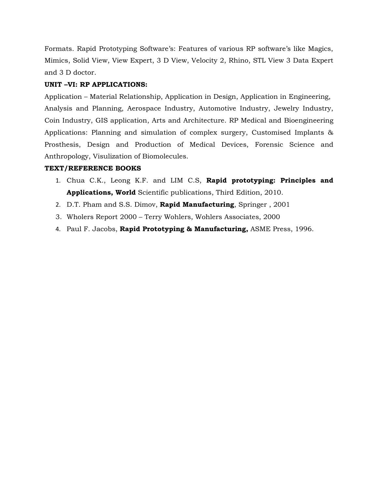Formats. Rapid Prototyping Software's: Features of various RP software's like Magics, Mimics, Solid View, View Expert, 3 D View, Velocity 2, Rhino, STL View 3 Data Expert and 3 D doctor.

### **UNIT –VI: RP APPLICATIONS:**

Application – Material Relationship, Application in Design, Application in Engineering, Analysis and Planning, Aerospace Industry, Automotive Industry, Jewelry Industry, Coin Industry, GIS application, Arts and Architecture. RP Medical and Bioengineering Applications: Planning and simulation of complex surgery, Customised Implants & Prosthesis, Design and Production of Medical Devices, Forensic Science and Anthropology, Visulization of Biomolecules.

# **TEXT/REFERENCE BOOKS**

- 1. Chua C.K., Leong K.F. and LIM C.S, **Rapid prototyping: Principles and Applications, World** Scientific publications, Third Edition, 2010.
- 2. D.T. Pham and S.S. Dimov, **Rapid Manufacturing**, Springer , 2001
- 3. Wholers Report 2000 Terry Wohlers, Wohlers Associates, 2000
- 4. Paul F. Jacobs, **Rapid Prototyping & Manufacturing,** ASME Press, 1996.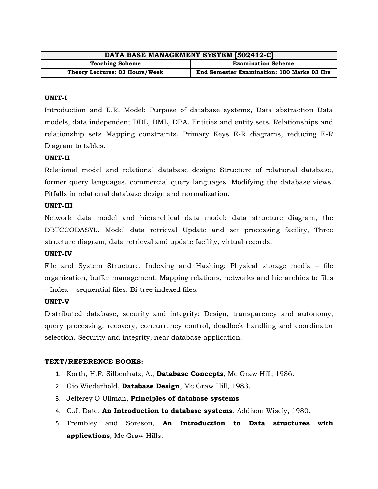| DATA BASE MANAGEMENT SYSTEM [502412-C] |                                                   |
|----------------------------------------|---------------------------------------------------|
| <b>Teaching Scheme</b>                 | <b>Examination Scheme</b>                         |
| Theory Lectures: 03 Hours/Week         | <b>End Semester Examination: 100 Marks 03 Hrs</b> |

#### **UNIT-I**

Introduction and E.R. Model: Purpose of database systems, Data abstraction Data models, data independent DDL, DML, DBA. Entities and entity sets. Relationships and relationship sets Mapping constraints, Primary Keys E-R diagrams, reducing E-R Diagram to tables.

#### **UNIT-II**

Relational model and relational database design: Structure of relational database, former query languages, commercial query languages. Modifying the database views. Pitfalls in relational database design and normalization.

#### **UNIT-III**

Network data model and hierarchical data model: data structure diagram, the DBTCCODASYL. Model data retrieval Update and set processing facility, Three structure diagram, data retrieval and update facility, virtual records.

#### **UNIT-IV**

File and System Structure, Indexing and Hashing: Physical storage media – file organization, buffer management, Mapping relations, networks and hierarchies to files – Index – sequential files. Bi-tree indexed files.

#### **UNIT-V**

Distributed database, security and integrity: Design, transparency and autonomy, query processing, recovery, concurrency control, deadlock handling and coordinator selection. Security and integrity, near database application.

#### **TEXT/REFERENCE BOOKS:**

- 1. Korth, H.F. Silbenhatz, A., **Database Concepts**, Mc Graw Hill, 1986.
- 2. Gio Wiederhold, **Database Design**, Mc Graw Hill, 1983.
- 3. Jefferey O Ullman, **Principles of database systems**.
- 4. C.J. Date, **An Introduction to database systems**, Addison Wisely, 1980.
- 5. Trembley and Soreson, **An Introduction to Data structures with applications**, Mc Graw Hills.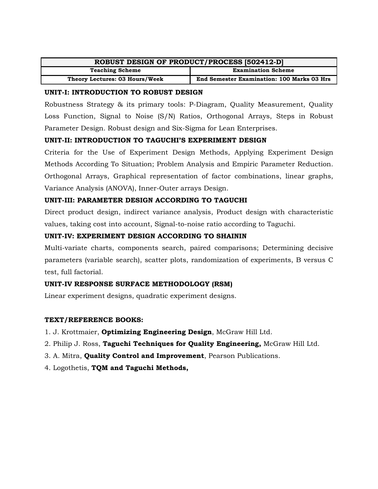| ROBUST DESIGN OF PRODUCT/PROCESS [502412-D] |                                                   |
|---------------------------------------------|---------------------------------------------------|
| <b>Teaching Scheme</b>                      | <b>Examination Scheme</b>                         |
| Theory Lectures: 03 Hours/Week              | <b>End Semester Examination: 100 Marks 03 Hrs</b> |

#### **UNIT-I: INTRODUCTION TO ROBUST DESIGN**

Robustness Strategy & its primary tools: P-Diagram, Quality Measurement, Quality Loss Function, Signal to Noise (S/N) Ratios, Orthogonal Arrays, Steps in Robust Parameter Design. Robust design and Six-Sigma for Lean Enterprises.

#### **UNIT-II: INTRODUCTION TO TAGUCHI'S EXPERIMENT DESIGN**

Criteria for the Use of Experiment Design Methods, Applying Experiment Design Methods According To Situation; Problem Analysis and Empiric Parameter Reduction. Orthogonal Arrays, Graphical representation of factor combinations, linear graphs, Variance Analysis (ANOVA), Inner-Outer arrays Design.

#### **UNIT-III: PARAMETER DESIGN ACCORDING TO TAGUCHI**

Direct product design, indirect variance analysis, Product design with characteristic values, taking cost into account, Signal-to-noise ratio according to Taguchi.

# **UNIT-IV: EXPERIMENT DESIGN ACCORDING TO SHAININ**

Multi-variate charts, components search, paired comparisons; Determining decisive parameters (variable search), scatter plots, randomization of experiments, B versus C test, full factorial.

#### **UNIT-IV RESPONSE SURFACE METHODOLOGY (RSM)**

Linear experiment designs, quadratic experiment designs.

#### **TEXT/REFERENCE BOOKS:**

- 1. J. Krottmaier, **Optimizing Engineering Design**, McGraw Hill Ltd.
- 2. Philip J. Ross, **Taguchi Techniques for Quality Engineering,** McGraw Hill Ltd.
- 3. A. Mitra, **Quality Control and Improvement**, Pearson Publications.
- 4. Logothetis, **TQM and Taguchi Methods,**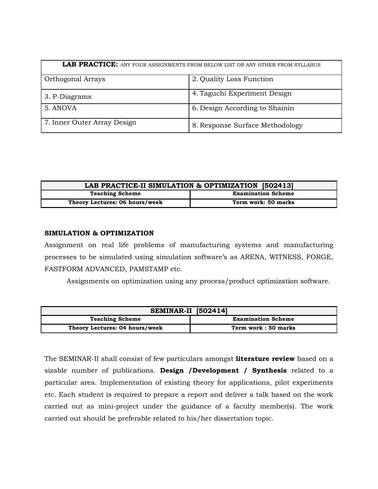| <b>LAB PRACTICE:</b> ANY FOUR ASSIGNMENTS FROM BELOW LIST OR ANY OTHER FROM SYLLABUS |                                 |
|--------------------------------------------------------------------------------------|---------------------------------|
| <b>Orthogonal Arrays</b>                                                             | 2. Quality Loss Function        |
| 3. P-Diagrams                                                                        | 4. Taguchi Experiment Design    |
| 5. ANOVA                                                                             | 6. Design According to Shainin  |
| 7. Inner Outer Array Design                                                          | 8. Response Surface Methodology |

| LAB PRACTICE-II SIMULATION & OPTIMIZATION [502413] |                           |
|----------------------------------------------------|---------------------------|
| <b>Teaching Scheme</b>                             | <b>Examination Scheme</b> |
| Theory Lectures: 06 hours/week                     | Term work: 50 marks       |

#### **SIMULATION & OPTIMIZATION**

Assignment on real life problems of manufacturing systems and manufacturing processes to be simulated using simulation software's as ARENA, WITNESS, FORGE, FASTFORM ADVANCED, PAMSTAMP etc.

Assignments on optimization using any process/product optimization software.

| <b>SEMINAR-II</b> [502414]     |                           |
|--------------------------------|---------------------------|
| <b>Teaching Scheme</b>         | <b>Examination Scheme</b> |
| Theory Lectures: 04 hours/week | Term work: 50 marks       |

The SEMINAR-II shall consist of few particulars amongst **literature review** based on a sizable number of publications. **Design /Development / Synthesis** related to a particular area. Implementation of existing theory for applications, pilot experiments etc. Each student is required to prepare a report and deliver a talk based on the work carried out as mini-project under the guidance of a faculty member(s). The work carried out should be preferable related to his/her dissertation topic.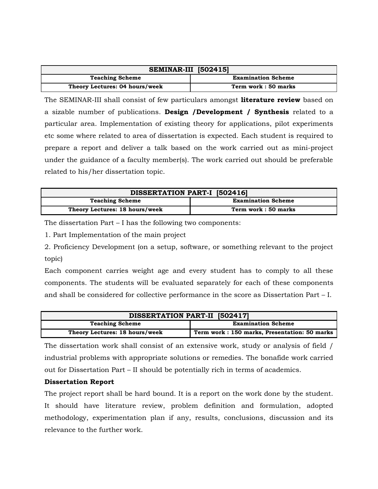| <b>SEMINAR-III</b> [502415]    |                           |  |
|--------------------------------|---------------------------|--|
| <b>Teaching Scheme</b>         | <b>Examination Scheme</b> |  |
| Theory Lectures: 04 hours/week | Term work: 50 marks       |  |

The SEMINAR-III shall consist of few particulars amongst **literature review** based on a sizable number of publications. **Design /Development / Synthesis** related to a particular area. Implementation of existing theory for applications, pilot experiments etc some where related to area of dissertation is expected. Each student is required to prepare a report and deliver a talk based on the work carried out as mini-project under the guidance of a faculty member(s). The work carried out should be preferable related to his/her dissertation topic.

| <b>DISSERTATION PART-I [502416]</b> |                           |  |
|-------------------------------------|---------------------------|--|
| <b>Teaching Scheme</b>              | <b>Examination Scheme</b> |  |
| Theory Lectures: 18 hours/week      | Term work: 50 marks       |  |

The dissertation Part – I has the following two components:

1. Part Implementation of the main project

2. Proficiency Development (on a setup, software, or something relevant to the project topic)

Each component carries weight age and every student has to comply to all these components. The students will be evaluated separately for each of these components and shall be considered for collective performance in the score as Dissertation Part – I.

| DISSERTATION PART-II [502417]  |                                              |
|--------------------------------|----------------------------------------------|
| <b>Teaching Scheme</b>         | <b>Examination Scheme</b>                    |
| Theory Lectures: 18 hours/week | Term work: 150 marks, Presentation: 50 marks |

The dissertation work shall consist of an extensive work, study or analysis of field / industrial problems with appropriate solutions or remedies. The bonafide work carried out for Dissertation Part – II should be potentially rich in terms of academics.

#### **Dissertation Report**

The project report shall be hard bound. It is a report on the work done by the student. It should have literature review, problem definition and formulation, adopted methodology, experimentation plan if any, results, conclusions, discussion and its relevance to the further work.